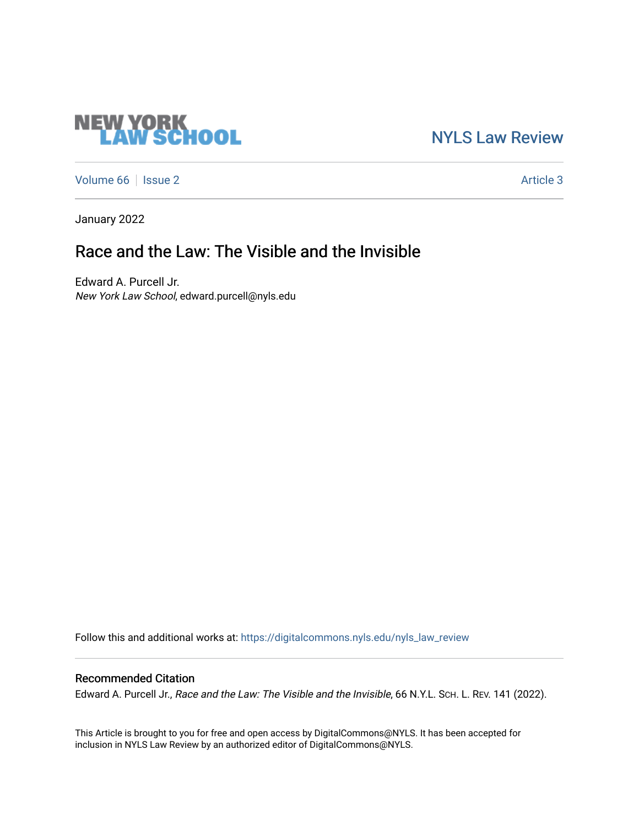# **NEW YORK<br>LAW SCHOOL**

[NYLS Law Review](https://digitalcommons.nyls.edu/nyls_law_review) 

[Volume 66](https://digitalcommons.nyls.edu/nyls_law_review/vol66) | [Issue 2](https://digitalcommons.nyls.edu/nyls_law_review/vol66/iss2) Article 3

January 2022

# Race and the Law: The Visible and the Invisible

Edward A. Purcell Jr. New York Law School, edward.purcell@nyls.edu

Follow this and additional works at: [https://digitalcommons.nyls.edu/nyls\\_law\\_review](https://digitalcommons.nyls.edu/nyls_law_review?utm_source=digitalcommons.nyls.edu%2Fnyls_law_review%2Fvol66%2Fiss2%2F3&utm_medium=PDF&utm_campaign=PDFCoverPages) 

# Recommended Citation

Edward A. Purcell Jr., Race and the Law: The Visible and the Invisible, 66 N.Y.L. Sch. L. REV. 141 (2022).

This Article is brought to you for free and open access by DigitalCommons@NYLS. It has been accepted for inclusion in NYLS Law Review by an authorized editor of DigitalCommons@NYLS.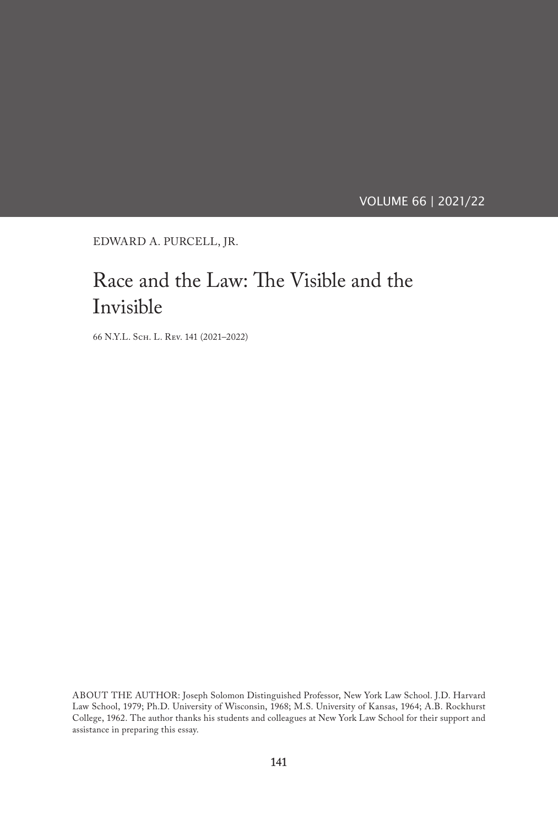VOLUME 66 | 2021/22

EDWARD A. PURCELL, JR.

# Race and the Law: The Visible and the Invisible

66 N.Y.L. Sch. L. Rev. 141 (2021–2022)

ABOUT THE AUTHOR: Joseph Solomon Distinguished Professor, New York Law School. J.D. Harvard Law School, 1979; Ph.D. University of Wisconsin, 1968; M.S. University of Kansas, 1964; A.B. Rockhurst College, 1962. The author thanks his students and colleagues at New York Law School for their support and assistance in preparing this essay.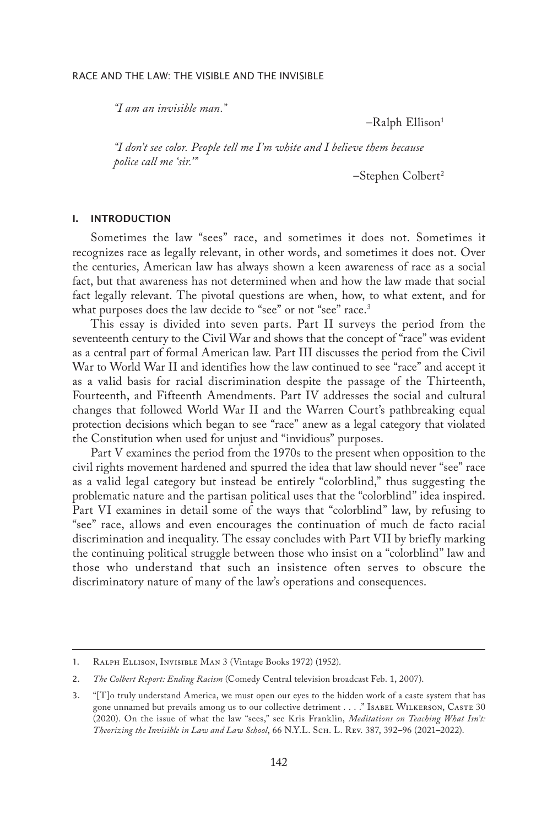*"I am an invisible man."*

–Ralph Ellison1

*"I don't see color. People tell me I'm white and I believe them because police call me 'sir.'"*

–Stephen Colbert2

#### I. INTRODUCTION

Sometimes the law "sees" race, and sometimes it does not. Sometimes it recognizes race as legally relevant, in other words, and sometimes it does not. Over the centuries, American law has always shown a keen awareness of race as a social fact, but that awareness has not determined when and how the law made that social fact legally relevant. The pivotal questions are when, how, to what extent, and for what purposes does the law decide to "see" or not "see" race.<sup>3</sup>

This essay is divided into seven parts. Part II surveys the period from the seventeenth century to the Civil War and shows that the concept of "race" was evident as a central part of formal American law. Part III discusses the period from the Civil War to World War II and identifies how the law continued to see "race" and accept it as a valid basis for racial discrimination despite the passage of the Thirteenth, Fourteenth, and Fifteenth Amendments. Part IV addresses the social and cultural changes that followed World War II and the Warren Court's pathbreaking equal protection decisions which began to see "race" anew as a legal category that violated the Constitution when used for unjust and "invidious" purposes.

Part V examines the period from the 1970s to the present when opposition to the civil rights movement hardened and spurred the idea that law should never "see" race as a valid legal category but instead be entirely "colorblind," thus suggesting the problematic nature and the partisan political uses that the "colorblind" idea inspired. Part VI examines in detail some of the ways that "colorblind" law, by refusing to "see" race, allows and even encourages the continuation of much de facto racial discrimination and inequality. The essay concludes with Part VII by briefly marking the continuing political struggle between those who insist on a "colorblind" law and those who understand that such an insistence often serves to obscure the discriminatory nature of many of the law's operations and consequences.

<sup>1.</sup> Ralph Ellison, Invisible Man 3 (Vintage Books 1972) (1952).

<sup>2.</sup> *The Colbert Report: Ending Racism* (Comedy Central television broadcast Feb. 1, 2007).

<sup>3.</sup> "[T]o truly understand America, we must open our eyes to the hidden work of a caste system that has gone unnamed but prevails among us to our collective detriment . . . ." Isabel WILKERSON, CASTE 30 (2020). On the issue of what the law "sees," see Kris Franklin, *Meditations on Teaching What Isn't: Theorizing the Invisible in Law and Law School*, 66 N.Y.L. Sch. L. Rev. 387, 392–96 (2021–2022).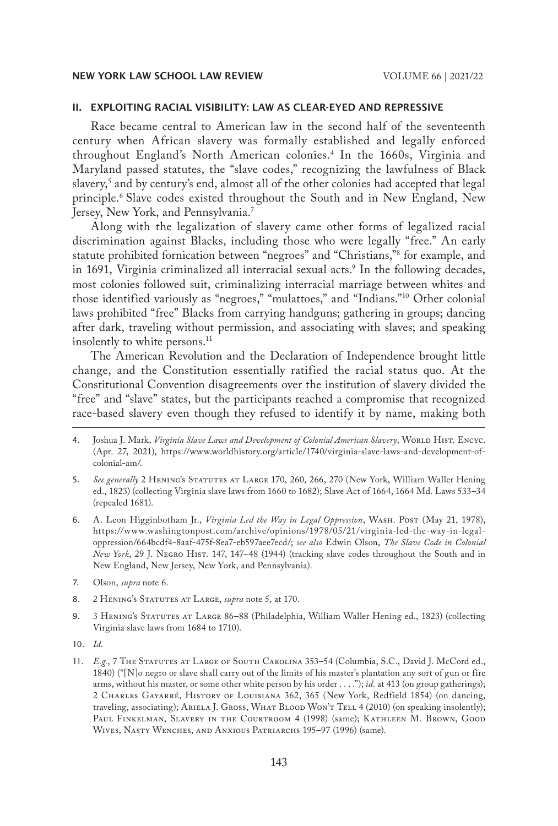#### II. EXPLOITING RACIAL VISIBILITY: LAW AS CLEAR-EYED AND REPRESSIVE

Race became central to American law in the second half of the seventeenth century when African slavery was formally established and legally enforced throughout England's North American colonies.4 In the 1660s, Virginia and Maryland passed statutes, the "slave codes," recognizing the lawfulness of Black slavery,5 and by century's end, almost all of the other colonies had accepted that legal principle.6 Slave codes existed throughout the South and in New England, New Jersey, New York, and Pennsylvania.<sup>7</sup>

Along with the legalization of slavery came other forms of legalized racial discrimination against Blacks, including those who were legally "free." An early statute prohibited fornication between "negroes" and "Christians,"8 for example, and in 1691, Virginia criminalized all interracial sexual acts.9 In the following decades, most colonies followed suit, criminalizing interracial marriage between whites and those identified variously as "negroes," "mulattoes," and "Indians."10 Other colonial laws prohibited "free" Blacks from carrying handguns; gathering in groups; dancing after dark, traveling without permission, and associating with slaves; and speaking insolently to white persons.<sup>11</sup>

The American Revolution and the Declaration of Independence brought little change, and the Constitution essentially ratified the racial status quo. At the Constitutional Convention disagreements over the institution of slavery divided the "free" and "slave" states, but the participants reached a compromise that recognized race-based slavery even though they refused to identify it by name, making both

- 5. See generally 2 HENING's STATUTES AT LARGE 170, 260, 266, 270 (New York, William Waller Hening ed., 1823) (collecting Virginia slave laws from 1660 to 1682); Slave Act of 1664, 1664 Md. Laws 533–34 (repealed 1681).
- 6. A. Leon Higginbotham Jr., *Virginia Led the Way in Legal Oppression*, Wash. Post (May 21, 1978), https://www.washingtonpost.com/archive/opinions/1978/05/21/virginia-led-the-way-in-legaloppression/664bcdf4-8aaf-475f-8ea7-eb597aee7ecd/; *see also* Edwin Olson, *The Slave Code in Colonial New York*, 29 J. Negro Hist. 147, 147–48 (1944) (tracking slave codes throughout the South and in New England, New Jersey, New York, and Pennsylvania).
- 7. Olson, *supra* note 6.
- 8. 2 HENING's STATUTES AT LARGE, *supra* note 5, at 170.
- 9. 3 Hening's Statutes at Large 86–88 (Philadelphia, William Waller Hening ed., 1823) (collecting Virginia slave laws from 1684 to 1710).
- 10. *Id.*
- 11. *E.g.*, 7 The Statutes at Large of South Carolina 353–54 (Columbia, S.C., David J. McCord ed., 1840) ("[N]o negro or slave shall carry out of the limits of his master's plantation any sort of gun or fire arms, without his master, or some other white person by his order . . . ."); *id.* at 413 (on group gatherings); 2 Charles Gayarré, History of Louisiana 362, 365 (New York, Redfield 1854) (on dancing, traveling, associating); Ariela J. Gross, What Blood Won't Tell 4 (2010) (on speaking insolently); Paul Finkelman, Slavery in the Courtroom 4 (1998) (same); Kathleen M. Brown, Good Wives, Nasty Wenches, and Anxious Patriarchs 195–97 (1996) (same).

<sup>4.</sup> Joshua J. Mark, Virginia Slave Laws and Development of Colonial American Slavery, WORLD HIST. ENCYC. (Apr. 27, 2021), https://www.worldhistory.org/article/1740/virginia-slave-laws-and-development-ofcolonial-am/.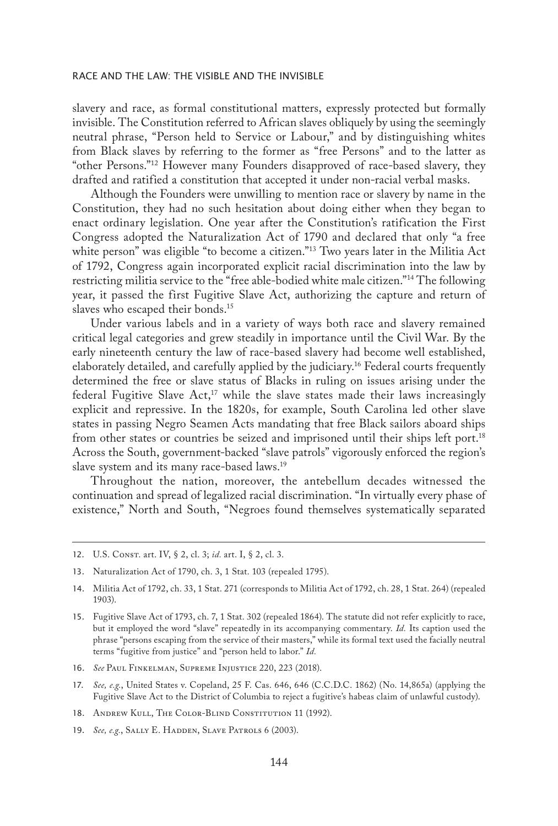slavery and race, as formal constitutional matters, expressly protected but formally invisible. The Constitution referred to African slaves obliquely by using the seemingly neutral phrase, "Person held to Service or Labour," and by distinguishing whites from Black slaves by referring to the former as "free Persons" and to the latter as "other Persons."12 However many Founders disapproved of race-based slavery, they drafted and ratified a constitution that accepted it under non-racial verbal masks.

Although the Founders were unwilling to mention race or slavery by name in the Constitution, they had no such hesitation about doing either when they began to enact ordinary legislation. One year after the Constitution's ratification the First Congress adopted the Naturalization Act of 1790 and declared that only "a free white person" was eligible "to become a citizen."<sup>13</sup> Two years later in the Militia Act of 1792, Congress again incorporated explicit racial discrimination into the law by restricting militia service to the "free able-bodied white male citizen."14 The following year, it passed the first Fugitive Slave Act, authorizing the capture and return of slaves who escaped their bonds.15

Under various labels and in a variety of ways both race and slavery remained critical legal categories and grew steadily in importance until the Civil War. By the early nineteenth century the law of race-based slavery had become well established, elaborately detailed, and carefully applied by the judiciary.16 Federal courts frequently determined the free or slave status of Blacks in ruling on issues arising under the federal Fugitive Slave Act,<sup>17</sup> while the slave states made their laws increasingly explicit and repressive. In the 1820s, for example, South Carolina led other slave states in passing Negro Seamen Acts mandating that free Black sailors aboard ships from other states or countries be seized and imprisoned until their ships left port.18 Across the South, government-backed "slave patrols" vigorously enforced the region's slave system and its many race-based laws.19

Throughout the nation, moreover, the antebellum decades witnessed the continuation and spread of legalized racial discrimination. "In virtually every phase of existence," North and South, "Negroes found themselves systematically separated

12. U.S. Const. art. IV, § 2, cl. 3; *id.* art. I, § 2, cl. 3.

- 16. *See* Paul Finkelman, Supreme Injustice 220, 223 (2018).
- 17. *See, e.g.*, United States v. Copeland, 25 F. Cas. 646, 646 (C.C.D.C. 1862) (No. 14,865a) (applying the Fugitive Slave Act to the District of Columbia to reject a fugitive's habeas claim of unlawful custody).
- 18. ANDREW KULL, THE COLOR-BLIND CONSTITUTION 11 (1992).
- 19. *See, e.g.*, SALLY E. HADDEN, SLAVE PATROLS 6 (2003).

<sup>13.</sup> Naturalization Act of 1790, ch. 3, 1 Stat. 103 (repealed 1795).

<sup>14.</sup> Militia Act of 1792, ch. 33, 1 Stat. 271 (corresponds to Militia Act of 1792, ch. 28, 1 Stat. 264) (repealed 1903).

<sup>15.</sup> Fugitive Slave Act of 1793, ch. 7, 1 Stat. 302 (repealed 1864). The statute did not refer explicitly to race, but it employed the word "slave" repeatedly in its accompanying commentary. *Id.* Its caption used the phrase "persons escaping from the service of their masters," while its formal text used the facially neutral terms "fugitive from justice" and "person held to labor." *Id.*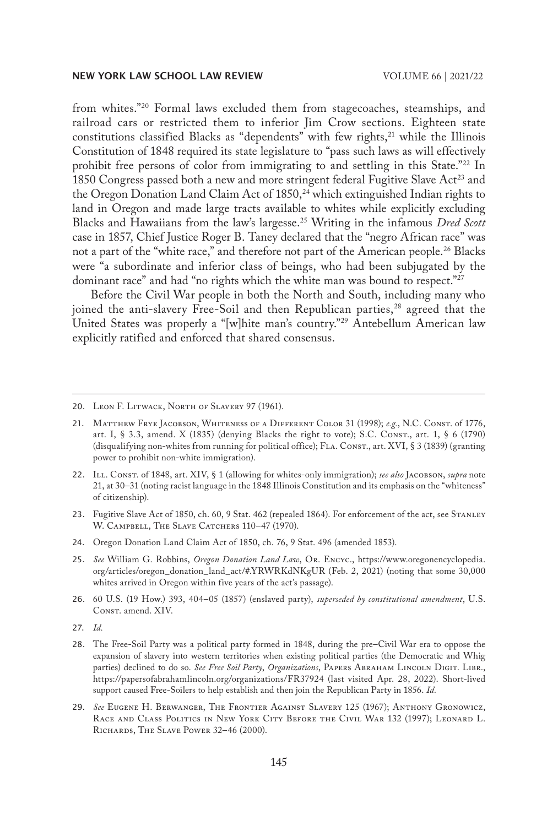from whites."20 Formal laws excluded them from stagecoaches, steamships, and railroad cars or restricted them to inferior Jim Crow sections. Eighteen state constitutions classified Blacks as "dependents" with few rights, $21$  while the Illinois Constitution of 1848 required its state legislature to "pass such laws as will effectively prohibit free persons of color from immigrating to and settling in this State."<sup>22</sup> In 1850 Congress passed both a new and more stringent federal Fugitive Slave Act<sup>23</sup> and the Oregon Donation Land Claim Act of 1850,<sup>24</sup> which extinguished Indian rights to land in Oregon and made large tracts available to whites while explicitly excluding Blacks and Hawaiians from the law's largesse.25 Writing in the infamous *Dred Scott* case in 1857, Chief Justice Roger B. Taney declared that the "negro African race" was not a part of the "white race," and therefore not part of the American people.26 Blacks were "a subordinate and inferior class of beings, who had been subjugated by the dominant race" and had "no rights which the white man was bound to respect."<sup>27</sup>

Before the Civil War people in both the North and South, including many who joined the anti-slavery Free-Soil and then Republican parties,<sup>28</sup> agreed that the United States was properly a "[w]hite man's country."29 Antebellum American law explicitly ratified and enforced that shared consensus.

26. 60 U.S. (19 How.) 393, 404–05 (1857) (enslaved party), *superseded by constitutional amendment*, U.S. CONST. amend. XIV.

<sup>20.</sup> Leon F. Litwack, North of Slavery 97 (1961).

<sup>21.</sup> Matthew Frye Jacobson, Whiteness of a Different Color 31 (1998); *e.g.*, N.C. Const. of 1776, art. I, § 3.3, amend. X (1835) (denying Blacks the right to vote); S.C. Const., art. 1, § 6 (1790) (disqualifying non-whites from running for political office); FLA. CONST., art. XVI, § 3 (1839) (granting power to prohibit non-white immigration).

<sup>22.</sup> Ill. Const. of 1848, art. XIV, § 1 (allowing for whites-only immigration); *see also* Jacobson, *supra* note 21, at 30–31 (noting racist language in the 1848 Illinois Constitution and its emphasis on the "whiteness" of citizenship).

<sup>23.</sup> Fugitive Slave Act of 1850, ch. 60, 9 Stat. 462 (repealed 1864). For enforcement of the act, see Stanley W. CAMPBELL, THE SLAVE CATCHERS 110-47 (1970).

<sup>24.</sup> Oregon Donation Land Claim Act of 1850, ch. 76, 9 Stat. 496 (amended 1853).

<sup>25.</sup> *See* William G. Robbins, *Oregon Donation Land Law*, Or. Encyc., https://www.oregonencyclopedia. org/articles/oregon\_donation\_land\_act/#.YRWRKdNKgUR (Feb. 2, 2021) (noting that some 30,000 whites arrived in Oregon within five years of the act's passage).

<sup>27.</sup> *Id.*

<sup>28.</sup> The Free-Soil Party was a political party formed in 1848, during the pre–Civil War era to oppose the expansion of slavery into western territories when existing political parties (the Democratic and Whig parties) declined to do so. *See Free Soil Party*, *Organizations*, Papers Abraham Lincoln Digit. Libr., https://papersofabrahamlincoln.org/organizations/FR37924 (last visited Apr. 28, 2022). Short-lived support caused Free-Soilers to help establish and then join the Republican Party in 1856. *Id.*

<sup>29.</sup> *See* Eugene H. Berwanger, The Frontier Against Slavery 125 (1967); Anthony Gronowicz, Race and Class Politics in New York City Before the Civil War 132 (1997); Leonard L. Richards, The Slave Power 32–46 (2000).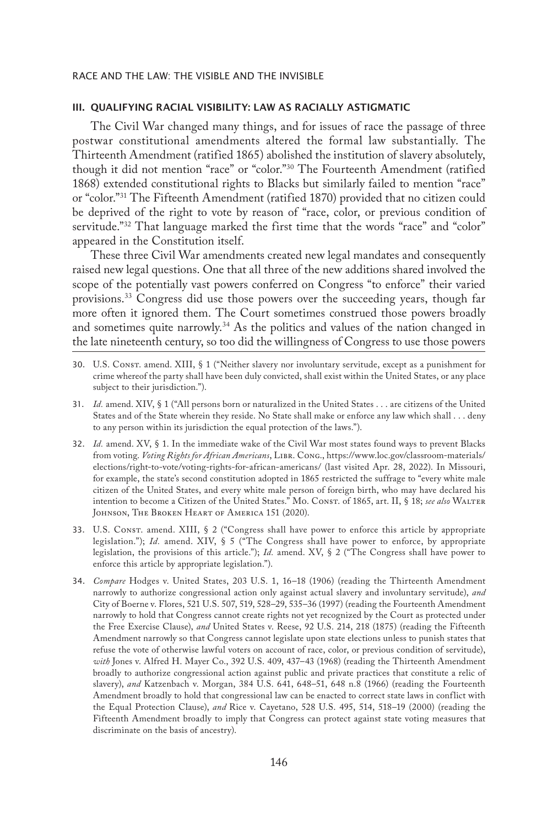#### III. QUALIFYING RACIAL VISIBILITY: LAW AS RACIALLY ASTIGMATIC

The Civil War changed many things, and for issues of race the passage of three postwar constitutional amendments altered the formal law substantially. The Thirteenth Amendment (ratified 1865) abolished the institution of slavery absolutely, though it did not mention "race" or "color."30 The Fourteenth Amendment (ratified 1868) extended constitutional rights to Blacks but similarly failed to mention "race" or "color."31 The Fifteenth Amendment (ratified 1870) provided that no citizen could be deprived of the right to vote by reason of "race, color, or previous condition of servitude."<sup>32</sup> That language marked the first time that the words "race" and "color" appeared in the Constitution itself.

These three Civil War amendments created new legal mandates and consequently raised new legal questions. One that all three of the new additions shared involved the scope of the potentially vast powers conferred on Congress "to enforce" their varied provisions.33 Congress did use those powers over the succeeding years, though far more often it ignored them. The Court sometimes construed those powers broadly and sometimes quite narrowly.<sup>34</sup> As the politics and values of the nation changed in the late nineteenth century, so too did the willingness of Congress to use those powers

- 30. U.S. Const. amend. XIII, § 1 ("Neither slavery nor involuntary servitude, except as a punishment for crime whereof the party shall have been duly convicted, shall exist within the United States, or any place subject to their jurisdiction.").
- 31. *Id.* amend. XIV, § 1 ("All persons born or naturalized in the United States . . . are citizens of the United States and of the State wherein they reside. No State shall make or enforce any law which shall . . . deny to any person within its jurisdiction the equal protection of the laws.").
- 32. *Id.* amend. XV, § 1. In the immediate wake of the Civil War most states found ways to prevent Blacks from voting. *Voting Rights for African Americans*, Libr. Cong., https://www.loc.gov/classroom-materials/ elections/right-to-vote/voting-rights-for-african-americans/ (last visited Apr. 28, 2022). In Missouri, for example, the state's second constitution adopted in 1865 restricted the suffrage to "every white male citizen of the United States, and every white male person of foreign birth, who may have declared his intention to become a Citizen of the United States." Mo. Const. of 1865, art. II, § 18; see also WALTER Johnson, The Broken Heart of America 151 (2020).
- 33. U.S. Const. amend. XIII, § 2 ("Congress shall have power to enforce this article by appropriate legislation."); *Id.* amend. XIV, § 5 ("The Congress shall have power to enforce, by appropriate legislation, the provisions of this article."); *Id.* amend. XV, § 2 ("The Congress shall have power to enforce this article by appropriate legislation.").
- 34. *Compare* Hodges v. United States, 203 U.S. 1, 16–18 (1906) (reading the Thirteenth Amendment narrowly to authorize congressional action only against actual slavery and involuntary servitude), *and* City of Boerne v. Flores, 521 U.S. 507, 519, 528–29, 535–36 (1997) (reading the Fourteenth Amendment narrowly to hold that Congress cannot create rights not yet recognized by the Court as protected under the Free Exercise Clause), *and* United States v. Reese, 92 U.S. 214, 218 (1875) (reading the Fifteenth Amendment narrowly so that Congress cannot legislate upon state elections unless to punish states that refuse the vote of otherwise lawful voters on account of race, color, or previous condition of servitude), *with* Jones v. Alfred H. Mayer Co., 392 U.S. 409, 437–43 (1968) (reading the Thirteenth Amendment broadly to authorize congressional action against public and private practices that constitute a relic of slavery), *and* Katzenbach v. Morgan, 384 U.S. 641, 648–51, 648 n.8 (1966) (reading the Fourteenth Amendment broadly to hold that congressional law can be enacted to correct state laws in conflict with the Equal Protection Clause), *and* Rice v. Cayetano, 528 U.S. 495, 514, 518–19 (2000) (reading the Fifteenth Amendment broadly to imply that Congress can protect against state voting measures that discriminate on the basis of ancestry).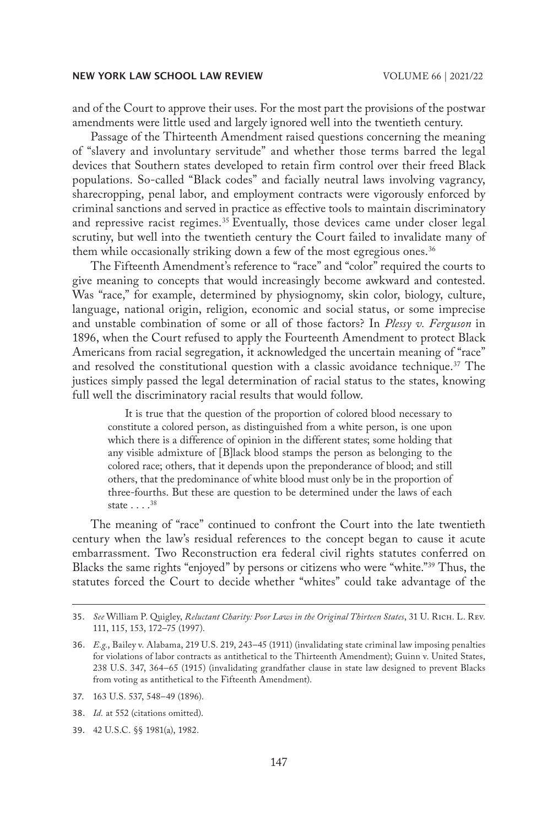and of the Court to approve their uses. For the most part the provisions of the postwar amendments were little used and largely ignored well into the twentieth century.

Passage of the Thirteenth Amendment raised questions concerning the meaning of "slavery and involuntary servitude" and whether those terms barred the legal devices that Southern states developed to retain firm control over their freed Black populations. So-called "Black codes" and facially neutral laws involving vagrancy, sharecropping, penal labor, and employment contracts were vigorously enforced by criminal sanctions and served in practice as effective tools to maintain discriminatory and repressive racist regimes.<sup>35</sup> Eventually, those devices came under closer legal scrutiny, but well into the twentieth century the Court failed to invalidate many of them while occasionally striking down a few of the most egregious ones.<sup>36</sup>

The Fifteenth Amendment's reference to "race" and "color" required the courts to give meaning to concepts that would increasingly become awkward and contested. Was "race," for example, determined by physiognomy, skin color, biology, culture, language, national origin, religion, economic and social status, or some imprecise and unstable combination of some or all of those factors? In *Plessy v. Ferguson* in 1896, when the Court refused to apply the Fourteenth Amendment to protect Black Americans from racial segregation, it acknowledged the uncertain meaning of "race" and resolved the constitutional question with a classic avoidance technique.<sup>37</sup> The justices simply passed the legal determination of racial status to the states, knowing full well the discriminatory racial results that would follow.

It is true that the question of the proportion of colored blood necessary to constitute a colored person, as distinguished from a white person, is one upon which there is a difference of opinion in the different states; some holding that any visible admixture of [B]lack blood stamps the person as belonging to the colored race; others, that it depends upon the preponderance of blood; and still others, that the predominance of white blood must only be in the proportion of three-fourths. But these are question to be determined under the laws of each state . . . .<sup>38</sup>

The meaning of "race" continued to confront the Court into the late twentieth century when the law's residual references to the concept began to cause it acute embarrassment. Two Reconstruction era federal civil rights statutes conferred on Blacks the same rights "enjoyed" by persons or citizens who were "white."39 Thus, the statutes forced the Court to decide whether "whites" could take advantage of the

37. 163 U.S. 537, 548–49 (1896).

<sup>35.</sup> *See* William P. Quigley, *Reluctant Charity: Poor Laws in the Original Thirteen States*, 31 U. Rich. L. Rev. 111, 115, 153, 172–75 (1997).

<sup>36.</sup> *E.g.*, Bailey v. Alabama, 219 U.S. 219, 243–45 (1911) (invalidating state criminal law imposing penalties for violations of labor contracts as antithetical to the Thirteenth Amendment); Guinn v. United States, 238 U.S. 347, 364–65 (1915) (invalidating grandfather clause in state law designed to prevent Blacks from voting as antithetical to the Fifteenth Amendment).

<sup>38.</sup> *Id.* at 552 (citations omitted).

<sup>39.</sup> 42 U.S.C. §§ 1981(a), 1982.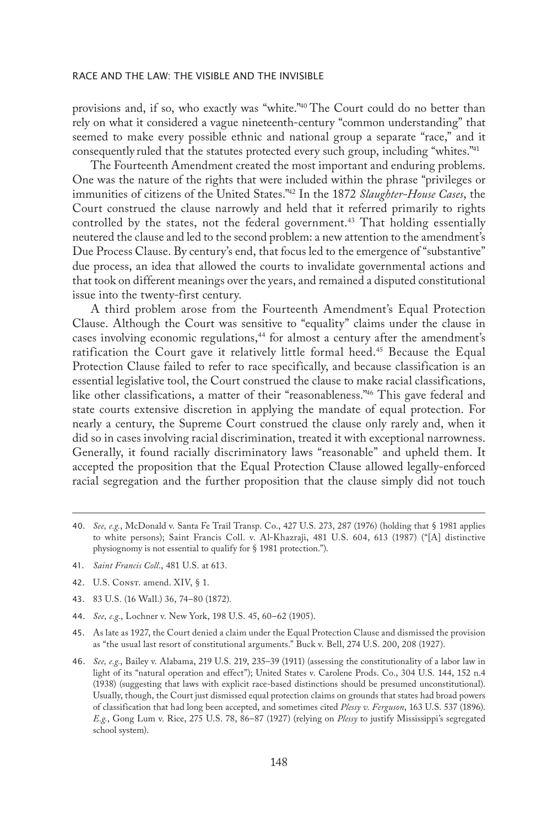provisions and, if so, who exactly was "white."40 The Court could do no better than rely on what it considered a vague nineteenth-century "common understanding" that seemed to make every possible ethnic and national group a separate "race," and it consequently ruled that the statutes protected every such group, including "whites."41

The Fourteenth Amendment created the most important and enduring problems. One was the nature of the rights that were included within the phrase "privileges or immunities of citizens of the United States."42 In the 1872 *Slaughter-House Cases*, the Court construed the clause narrowly and held that it referred primarily to rights controlled by the states, not the federal government.<sup>43</sup> That holding essentially neutered the clause and led to the second problem: a new attention to the amendment's Due Process Clause. By century's end, that focus led to the emergence of "substantive" due process, an idea that allowed the courts to invalidate governmental actions and that took on different meanings over the years, and remained a disputed constitutional issue into the twenty-first century.

A third problem arose from the Fourteenth Amendment's Equal Protection Clause. Although the Court was sensitive to "equality" claims under the clause in cases involving economic regulations,<sup>44</sup> for almost a century after the amendment's ratification the Court gave it relatively little formal heed.<sup>45</sup> Because the Equal Protection Clause failed to refer to race specifically, and because classification is an essential legislative tool, the Court construed the clause to make racial classifications, like other classifications, a matter of their "reasonableness."<sup>46</sup> This gave federal and state courts extensive discretion in applying the mandate of equal protection. For nearly a century, the Supreme Court construed the clause only rarely and, when it did so in cases involving racial discrimination, treated it with exceptional narrowness. Generally, it found racially discriminatory laws "reasonable" and upheld them. It accepted the proposition that the Equal Protection Clause allowed legally-enforced racial segregation and the further proposition that the clause simply did not touch

- 41. *Saint Francis Coll*., 481 U.S. at 613.
- 42. U.S. CONST. amend. XIV, § 1.
- 43. 83 U.S. (16 Wall.) 36, 74–80 (1872).
- 44. *See, e.g.*, Lochner v. New York, 198 U.S. 45, 60–62 (1905).
- 45. As late as 1927, the Court denied a claim under the Equal Protection Clause and dismissed the provision as "the usual last resort of constitutional arguments." Buck v. Bell, 274 U.S. 200, 208 (1927).
- 46. *See, e.g.*, Bailey v. Alabama, 219 U.S. 219, 235–39 (1911) (assessing the constitutionality of a labor law in light of its "natural operation and effect"); United States v. Carolene Prods. Co., 304 U.S. 144, 152 n.4 (1938) (suggesting that laws with explicit race-based distinctions should be presumed unconstitutional). Usually, though, the Court just dismissed equal protection claims on grounds that states had broad powers of classification that had long been accepted, and sometimes cited *Plessy v. Ferguson*, 163 U.S. 537 (1896). *E.g.*, Gong Lum v. Rice, 275 U.S. 78, 86–87 (1927) (relying on *Plessy* to justify Mississippi's segregated school system).

<sup>40.</sup> *See, e.g.*, McDonald v. Santa Fe Trail Transp. Co., 427 U.S. 273, 287 (1976) (holding that § 1981 applies to white persons); Saint Francis Coll. v. Al-Khazraji, 481 U.S. 604, 613 (1987) ("[A] distinctive physiognomy is not essential to qualify for § 1981 protection.").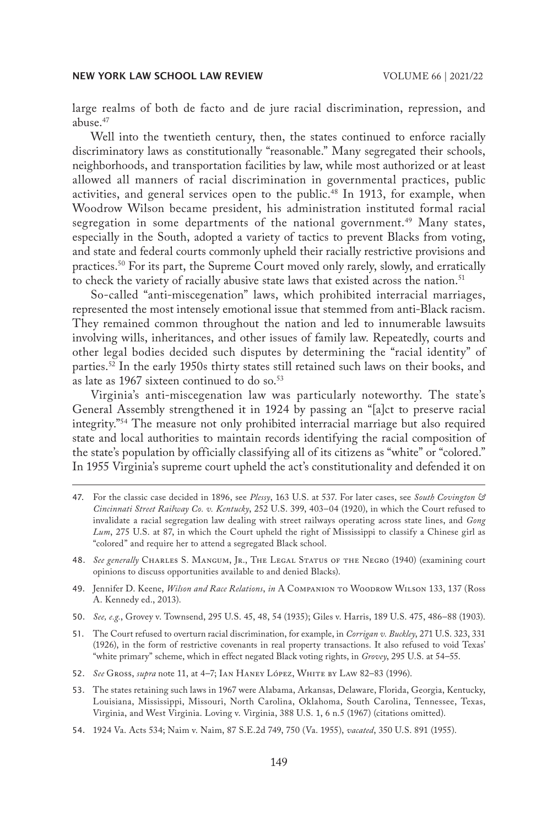large realms of both de facto and de jure racial discrimination, repression, and abuse.<sup>47</sup>

Well into the twentieth century, then, the states continued to enforce racially discriminatory laws as constitutionally "reasonable." Many segregated their schools, neighborhoods, and transportation facilities by law, while most authorized or at least allowed all manners of racial discrimination in governmental practices, public activities, and general services open to the public.<sup>48</sup> In 1913, for example, when Woodrow Wilson became president, his administration instituted formal racial segregation in some departments of the national government.<sup>49</sup> Many states, especially in the South, adopted a variety of tactics to prevent Blacks from voting, and state and federal courts commonly upheld their racially restrictive provisions and practices.<sup>50</sup> For its part, the Supreme Court moved only rarely, slowly, and erratically to check the variety of racially abusive state laws that existed across the nation.<sup>51</sup>

So-called "anti-miscegenation" laws, which prohibited interracial marriages, represented the most intensely emotional issue that stemmed from anti-Black racism. They remained common throughout the nation and led to innumerable lawsuits involving wills, inheritances, and other issues of family law. Repeatedly, courts and other legal bodies decided such disputes by determining the "racial identity" of parties.<sup>52</sup> In the early 1950s thirty states still retained such laws on their books, and as late as 1967 sixteen continued to do so.<sup>53</sup>

Virginia's anti-miscegenation law was particularly noteworthy. The state's General Assembly strengthened it in 1924 by passing an "[a]ct to preserve racial integrity."54 The measure not only prohibited interracial marriage but also required state and local authorities to maintain records identifying the racial composition of the state's population by officially classifying all of its citizens as "white" or "colored." In 1955 Virginia's supreme court upheld the act's constitutionality and defended it on

- 47. For the classic case decided in 1896, see *Plessy*, 163 U.S. at 537. For later cases, see *South Covington & Cincinnati Street Railway Co. v. Kentucky*, 252 U.S. 399, 403–04 (1920), in which the Court refused to invalidate a racial segregation law dealing with street railways operating across state lines, and *Gong Lum*, 275 U.S. at 87, in which the Court upheld the right of Mississippi to classify a Chinese girl as "colored" and require her to attend a segregated Black school.
- 48. *See generally* Charles S. Mangum, Jr., The Legal Status of the Negro (1940) (examining court opinions to discuss opportunities available to and denied Blacks).
- 49. Jennifer D. Keene, *Wilson and Race Relations*, *in* A Companion to Woodrow Wilson 133, 137 (Ross A. Kennedy ed., 2013).
- 50. *See, e.g.*, Grovey v. Townsend, 295 U.S. 45, 48, 54 (1935); Giles v. Harris, 189 U.S. 475, 486–88 (1903).
- 51. The Court refused to overturn racial discrimination, for example, in *Corrigan v. Buckley*, 271 U.S. 323, 331 (1926), in the form of restrictive covenants in real property transactions. It also refused to void Texas' "white primary" scheme, which in effect negated Black voting rights, in *Grovey*, 295 U.S. at 54–55.
- 52. *See* Gross, *supra* note 11, at 4–7; Ian Haney López, White by Law 82–83 (1996).
- 53. The states retaining such laws in 1967 were Alabama, Arkansas, Delaware, Florida, Georgia, Kentucky, Louisiana, Mississippi, Missouri, North Carolina, Oklahoma, South Carolina, Tennessee, Texas, Virginia, and West Virginia. Loving v. Virginia, 388 U.S. 1, 6 n.5 (1967) (citations omitted).
- 54. 1924 Va. Acts 534; Naim v. Naim, 87 S.E.2d 749, 750 (Va. 1955), *vacated*, 350 U.S. 891 (1955).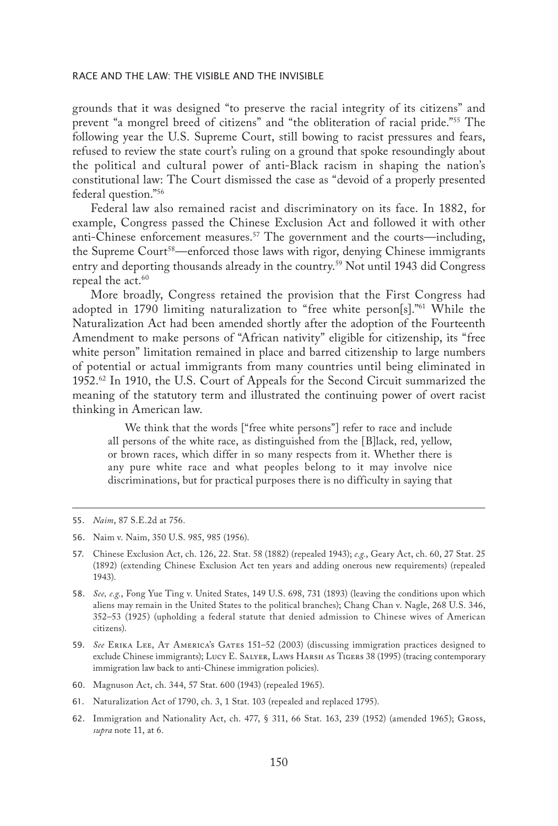grounds that it was designed "to preserve the racial integrity of its citizens" and prevent "a mongrel breed of citizens" and "the obliteration of racial pride."55 The following year the U.S. Supreme Court, still bowing to racist pressures and fears, refused to review the state court's ruling on a ground that spoke resoundingly about the political and cultural power of anti-Black racism in shaping the nation's constitutional law: The Court dismissed the case as "devoid of a properly presented federal question."56

Federal law also remained racist and discriminatory on its face. In 1882, for example, Congress passed the Chinese Exclusion Act and followed it with other anti-Chinese enforcement measures.<sup>57</sup> The government and the courts—including, the Supreme Court<sup>58</sup>—enforced those laws with rigor, denying Chinese immigrants entry and deporting thousands already in the country.59 Not until 1943 did Congress repeal the act.<sup>60</sup>

More broadly, Congress retained the provision that the First Congress had adopted in 1790 limiting naturalization to "free white person[s]."61 While the Naturalization Act had been amended shortly after the adoption of the Fourteenth Amendment to make persons of "African nativity" eligible for citizenship, its "free white person" limitation remained in place and barred citizenship to large numbers of potential or actual immigrants from many countries until being eliminated in 1952.62 In 1910, the U.S. Court of Appeals for the Second Circuit summarized the meaning of the statutory term and illustrated the continuing power of overt racist thinking in American law.

We think that the words ["free white persons"] refer to race and include all persons of the white race, as distinguished from the [B]lack, red, yellow, or brown races, which differ in so many respects from it. Whether there is any pure white race and what peoples belong to it may involve nice discriminations, but for practical purposes there is no difficulty in saying that

- 61. Naturalization Act of 1790, ch. 3, 1 Stat. 103 (repealed and replaced 1795).
- 62. Immigration and Nationality Act, ch. 477, § 311, 66 Stat. 163, 239 (1952) (amended 1965); Gross, *supra* note 11, at 6.

<sup>55.</sup> *Naim*, 87 S.E.2d at 756.

<sup>56.</sup> Naim v. Naim, 350 U.S. 985, 985 (1956).

<sup>57.</sup> Chinese Exclusion Act, ch. 126, 22. Stat. 58 (1882) (repealed 1943); *e.g.*, Geary Act, ch. 60, 27 Stat. 25 (1892) (extending Chinese Exclusion Act ten years and adding onerous new requirements) (repealed 1943).

<sup>58.</sup> *See, e.g.*, Fong Yue Ting v. United States, 149 U.S. 698, 731 (1893) (leaving the conditions upon which aliens may remain in the United States to the political branches); Chang Chan v. Nagle, 268 U.S. 346, 352–53 (1925) (upholding a federal statute that denied admission to Chinese wives of American citizens).

<sup>59.</sup> *See* Erika Lee, At America's Gates 151–52 (2003) (discussing immigration practices designed to exclude Chinese immigrants); Lucy E. Salyer, Laws Harsh as Tigers 38 (1995) (tracing contemporary immigration law back to anti-Chinese immigration policies).

<sup>60.</sup> Magnuson Act, ch. 344, 57 Stat. 600 (1943) (repealed 1965).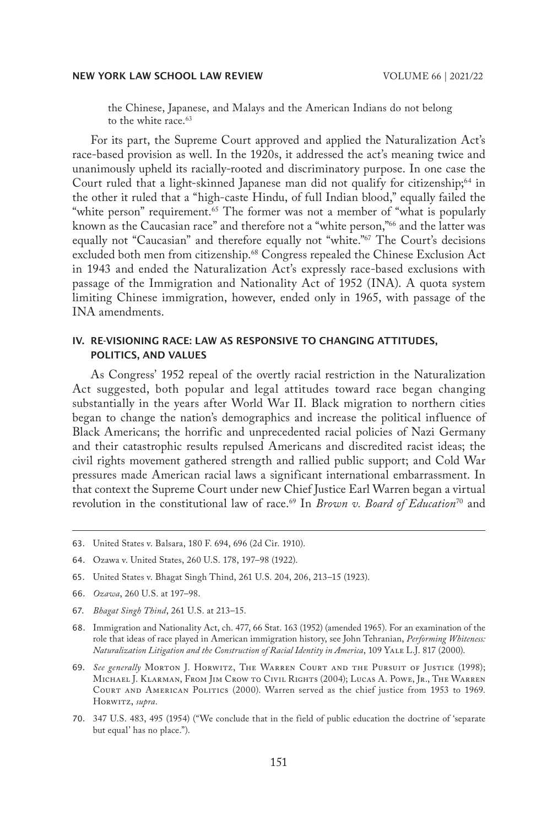the Chinese, Japanese, and Malays and the American Indians do not belong to the white race.<sup>63</sup>

For its part, the Supreme Court approved and applied the Naturalization Act's race-based provision as well. In the 1920s, it addressed the act's meaning twice and unanimously upheld its racially-rooted and discriminatory purpose. In one case the Court ruled that a light-skinned Japanese man did not qualify for citizenship;<sup>64</sup> in the other it ruled that a "high-caste Hindu, of full Indian blood," equally failed the "white person" requirement.<sup>65</sup> The former was not a member of "what is popularly" known as the Caucasian race" and therefore not a "white person,"66 and the latter was equally not "Caucasian" and therefore equally not "white."67 The Court's decisions excluded both men from citizenship.<sup>68</sup> Congress repealed the Chinese Exclusion Act in 1943 and ended the Naturalization Act's expressly race-based exclusions with passage of the Immigration and Nationality Act of 1952 (INA). A quota system limiting Chinese immigration, however, ended only in 1965, with passage of the INA amendments.

## IV. RE-VISIONING RACE: LAW AS RESPONSIVE TO CHANGING ATTITUDES, POLITICS, AND VALUES

As Congress' 1952 repeal of the overtly racial restriction in the Naturalization Act suggested, both popular and legal attitudes toward race began changing substantially in the years after World War II. Black migration to northern cities began to change the nation's demographics and increase the political influence of Black Americans; the horrific and unprecedented racial policies of Nazi Germany and their catastrophic results repulsed Americans and discredited racist ideas; the civil rights movement gathered strength and rallied public support; and Cold War pressures made American racial laws a significant international embarrassment. In that context the Supreme Court under new Chief Justice Earl Warren began a virtual revolution in the constitutional law of race.<sup>69</sup> In *Brown v. Board of Education*<sup>70</sup> and

- 68. Immigration and Nationality Act, ch. 477, 66 Stat. 163 (1952) (amended 1965). For an examination of the role that ideas of race played in American immigration history, see John Tehranian, *Performing Whiteness: Naturalization Litigation and the Construction of Racial Identity in America*, 109 Yale L.J. 817 (2000).
- 69. *See generally* Morton J. Horwitz, The Warren Court and the Pursuit of Justice (1998); Michael J. Klarman, From Jim Crow to Civil Rights (2004); Lucas A. Powe, Jr., The Warren Court and American Politics (2000). Warren served as the chief justice from 1953 to 1969. HORWITZ, *supra*.
- 70. 347 U.S. 483, 495 (1954) ("We conclude that in the field of public education the doctrine of 'separate but equal' has no place.").

<sup>63.</sup> United States v. Balsara, 180 F. 694, 696 (2d Cir. 1910).

<sup>64.</sup> Ozawa v. United States, 260 U.S. 178, 197–98 (1922).

<sup>65.</sup> United States v. Bhagat Singh Thind, 261 U.S. 204, 206, 213–15 (1923).

<sup>66.</sup> *Ozawa*, 260 U.S. at 197–98.

<sup>67.</sup> *Bhagat Singh Thind*, 261 U.S. at 213–15.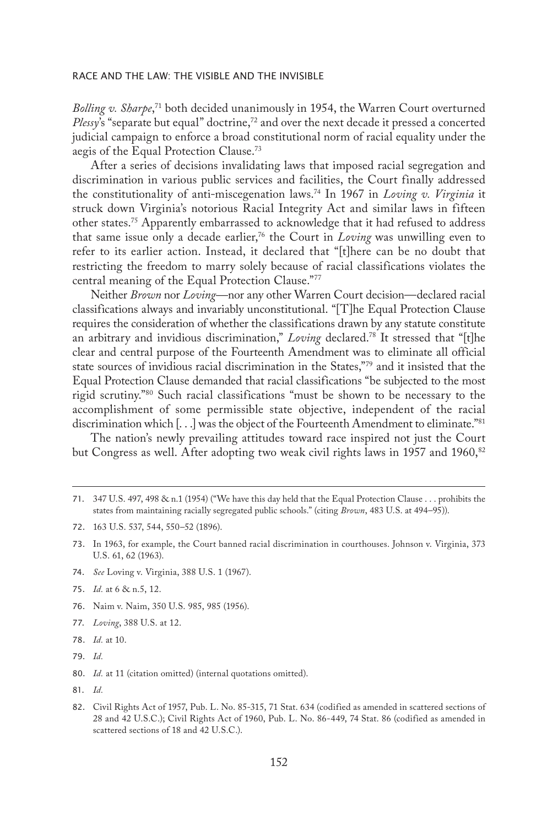*Bolling v. Sharpe*, 71 both decided unanimously in 1954, the Warren Court overturned *Plessy*'s "separate but equal" doctrine,<sup>72</sup> and over the next decade it pressed a concerted judicial campaign to enforce a broad constitutional norm of racial equality under the aegis of the Equal Protection Clause.73

After a series of decisions invalidating laws that imposed racial segregation and discrimination in various public services and facilities, the Court finally addressed the constitutionality of anti-miscegenation laws.74 In 1967 in *Loving v. Virginia* it struck down Virginia's notorious Racial Integrity Act and similar laws in fifteen other states.75 Apparently embarrassed to acknowledge that it had refused to address that same issue only a decade earlier,76 the Court in *Loving* was unwilling even to refer to its earlier action. Instead, it declared that "[t]here can be no doubt that restricting the freedom to marry solely because of racial classifications violates the central meaning of the Equal Protection Clause."77

Neither *Brown* nor *Loving—*nor any other Warren Court decision—declared racial classifications always and invariably unconstitutional. "[T]he Equal Protection Clause requires the consideration of whether the classifications drawn by any statute constitute an arbitrary and invidious discrimination," *Loving* declared.78 It stressed that "[t]he clear and central purpose of the Fourteenth Amendment was to eliminate all official state sources of invidious racial discrimination in the States,"79 and it insisted that the Equal Protection Clause demanded that racial classifications "be subjected to the most rigid scrutiny."80 Such racial classifications "must be shown to be necessary to the accomplishment of some permissible state objective, independent of the racial discrimination which [...] was the object of the Fourteenth Amendment to eliminate."<sup>81</sup>

The nation's newly prevailing attitudes toward race inspired not just the Court but Congress as well. After adopting two weak civil rights laws in 1957 and 1960, $82$ 

- 74. *See* Loving v. Virginia, 388 U.S. 1 (1967).
- 75. *Id.* at 6 & n.5, 12.
- 76. Naim v. Naim, 350 U.S. 985, 985 (1956).
- 77. *Loving*, 388 U.S. at 12.
- 78. *Id.* at 10.
- 79. *Id.*

80. *Id.* at 11 (citation omitted) (internal quotations omitted).

81. *Id.*

<sup>71.</sup> 347 U.S. 497, 498 & n.1 (1954) ("We have this day held that the Equal Protection Clause . . . prohibits the states from maintaining racially segregated public schools." (citing *Brown*, 483 U.S. at 494–95)).

<sup>72.</sup> 163 U.S. 537, 544, 550–52 (1896).

<sup>73.</sup> In 1963, for example, the Court banned racial discrimination in courthouses. Johnson v. Virginia, 373 U.S. 61, 62 (1963).

<sup>82.</sup> Civil Rights Act of 1957, Pub. L. No. 85-315, 71 Stat. 634 (codified as amended in scattered sections of 28 and 42 U.S.C.); Civil Rights Act of 1960, Pub. L. No. 86-449, 74 Stat. 86 (codified as amended in scattered sections of 18 and 42 U.S.C.).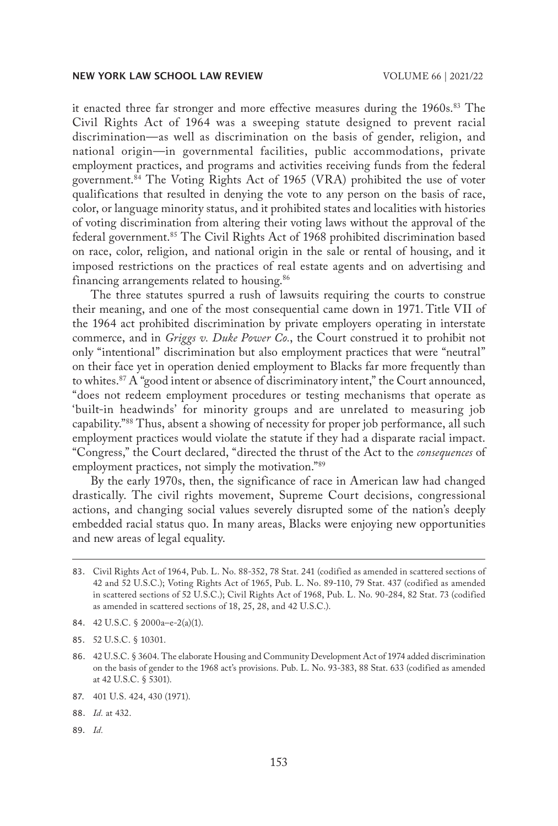it enacted three far stronger and more effective measures during the 1960s.<sup>83</sup> The Civil Rights Act of 1964 was a sweeping statute designed to prevent racial discrimination—as well as discrimination on the basis of gender, religion, and national origin—in governmental facilities, public accommodations, private employment practices, and programs and activities receiving funds from the federal government.84 The Voting Rights Act of 1965 (VRA) prohibited the use of voter qualifications that resulted in denying the vote to any person on the basis of race, color, or language minority status, and it prohibited states and localities with histories of voting discrimination from altering their voting laws without the approval of the federal government.<sup>85</sup> The Civil Rights Act of 1968 prohibited discrimination based on race, color, religion, and national origin in the sale or rental of housing, and it imposed restrictions on the practices of real estate agents and on advertising and financing arrangements related to housing.<sup>86</sup>

The three statutes spurred a rush of lawsuits requiring the courts to construe their meaning, and one of the most consequential came down in 1971. Title VII of the 1964 act prohibited discrimination by private employers operating in interstate commerce, and in *Griggs v. Duke Power Co.*, the Court construed it to prohibit not only "intentional" discrimination but also employment practices that were "neutral" on their face yet in operation denied employment to Blacks far more frequently than to whites.<sup>87</sup> A "good intent or absence of discriminatory intent," the Court announced, "does not redeem employment procedures or testing mechanisms that operate as 'built-in headwinds' for minority groups and are unrelated to measuring job capability."88 Thus, absent a showing of necessity for proper job performance, all such employment practices would violate the statute if they had a disparate racial impact. "Congress," the Court declared, "directed the thrust of the Act to the *consequences* of employment practices, not simply the motivation."89

By the early 1970s, then, the significance of race in American law had changed drastically. The civil rights movement, Supreme Court decisions, congressional actions, and changing social values severely disrupted some of the nation's deeply embedded racial status quo. In many areas, Blacks were enjoying new opportunities and new areas of legal equality.

- 88. *Id.* at 432.
- 89. *Id.*

<sup>83.</sup> Civil Rights Act of 1964, Pub. L. No. 88-352, 78 Stat. 241 (codified as amended in scattered sections of 42 and 52 U.S.C.); Voting Rights Act of 1965, Pub. L. No. 89-110, 79 Stat. 437 (codified as amended in scattered sections of 52 U.S.C.); Civil Rights Act of 1968, Pub. L. No. 90-284, 82 Stat. 73 (codified as amended in scattered sections of 18, 25, 28, and 42 U.S.C.).

<sup>84.</sup> 42 U.S.C. § 2000a–e-2(a)(1).

<sup>85.</sup> 52 U.S.C. § 10301.

<sup>86.</sup> 42 U.S.C. § 3604. The elaborate Housing and Community Development Act of 1974 added discrimination on the basis of gender to the 1968 act's provisions. Pub. L. No. 93-383, 88 Stat. 633 (codified as amended at 42 U.S.C. § 5301).

<sup>87.</sup> 401 U.S. 424, 430 (1971).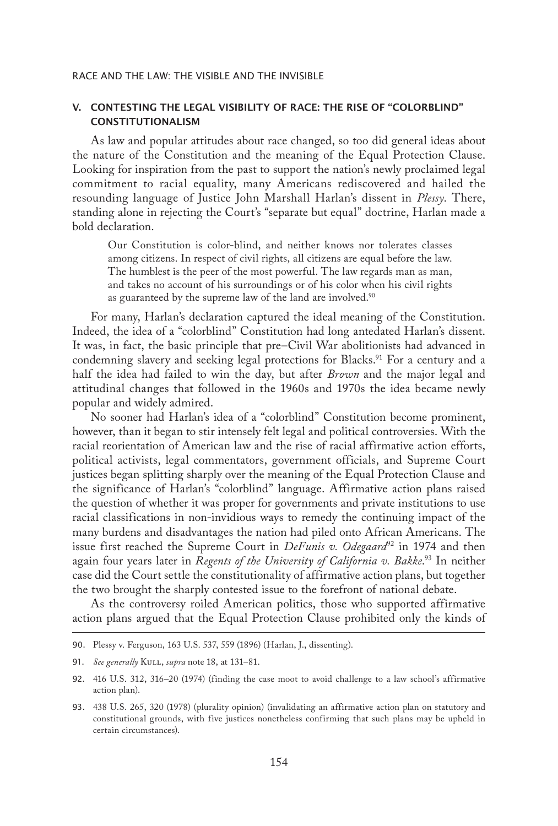## V. CONTESTING THE LEGAL VISIBILITY OF RACE: THE RISE OF "COLORBLIND" CONSTITUTIONALISM

As law and popular attitudes about race changed, so too did general ideas about the nature of the Constitution and the meaning of the Equal Protection Clause. Looking for inspiration from the past to support the nation's newly proclaimed legal commitment to racial equality, many Americans rediscovered and hailed the resounding language of Justice John Marshall Harlan's dissent in *Plessy*. There, standing alone in rejecting the Court's "separate but equal" doctrine, Harlan made a bold declaration.

Our Constitution is color-blind, and neither knows nor tolerates classes among citizens. In respect of civil rights, all citizens are equal before the law. The humblest is the peer of the most powerful. The law regards man as man, and takes no account of his surroundings or of his color when his civil rights as guaranteed by the supreme law of the land are involved.<sup>90</sup>

For many, Harlan's declaration captured the ideal meaning of the Constitution. Indeed, the idea of a "colorblind" Constitution had long antedated Harlan's dissent. It was, in fact, the basic principle that pre–Civil War abolitionists had advanced in condemning slavery and seeking legal protections for Blacks.<sup>91</sup> For a century and a half the idea had failed to win the day, but after *Brown* and the major legal and attitudinal changes that followed in the 1960s and 1970s the idea became newly popular and widely admired.

No sooner had Harlan's idea of a "colorblind" Constitution become prominent, however, than it began to stir intensely felt legal and political controversies. With the racial reorientation of American law and the rise of racial affirmative action efforts, political activists, legal commentators, government officials, and Supreme Court justices began splitting sharply over the meaning of the Equal Protection Clause and the significance of Harlan's "colorblind" language. Affirmative action plans raised the question of whether it was proper for governments and private institutions to use racial classifications in non-invidious ways to remedy the continuing impact of the many burdens and disadvantages the nation had piled onto African Americans. The issue first reached the Supreme Court in *DeFunis v. Odegaard*92 in 1974 and then again four years later in *Regents of the University of California v. Bakke.*<sup>93</sup> In neither case did the Court settle the constitutionality of affirmative action plans, but together the two brought the sharply contested issue to the forefront of national debate.

As the controversy roiled American politics, those who supported affirmative action plans argued that the Equal Protection Clause prohibited only the kinds of

<sup>90.</sup> Plessy v. Ferguson, 163 U.S. 537, 559 (1896) (Harlan, J., dissenting).

<sup>91.</sup> See generally KULL, *supra* note 18, at 131-81.

<sup>92.</sup> 416 U.S. 312, 316–20 (1974) (finding the case moot to avoid challenge to a law school's affirmative action plan).

<sup>93.</sup> 438 U.S. 265, 320 (1978) (plurality opinion) (invalidating an affirmative action plan on statutory and constitutional grounds, with five justices nonetheless confirming that such plans may be upheld in certain circumstances).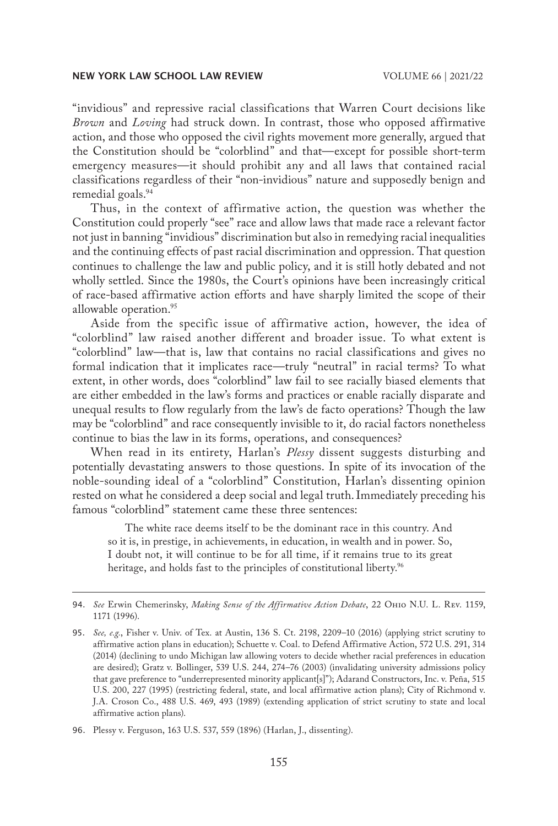"invidious" and repressive racial classifications that Warren Court decisions like *Brown* and *Loving* had struck down. In contrast, those who opposed affirmative action, and those who opposed the civil rights movement more generally, argued that the Constitution should be "colorblind" and that—except for possible short-term emergency measures—it should prohibit any and all laws that contained racial classifications regardless of their "non-invidious" nature and supposedly benign and remedial goals.<sup>94</sup>

Thus, in the context of affirmative action, the question was whether the Constitution could properly "see" race and allow laws that made race a relevant factor not just in banning "invidious" discrimination but also in remedying racial inequalities and the continuing effects of past racial discrimination and oppression. That question continues to challenge the law and public policy, and it is still hotly debated and not wholly settled. Since the 1980s, the Court's opinions have been increasingly critical of race-based affirmative action efforts and have sharply limited the scope of their allowable operation.95

Aside from the specific issue of affirmative action, however, the idea of "colorblind" law raised another different and broader issue. To what extent is "colorblind" law—that is, law that contains no racial classifications and gives no formal indication that it implicates race—truly "neutral" in racial terms? To what extent, in other words, does "colorblind" law fail to see racially biased elements that are either embedded in the law's forms and practices or enable racially disparate and unequal results to flow regularly from the law's de facto operations? Though the law may be "colorblind" and race consequently invisible to it, do racial factors nonetheless continue to bias the law in its forms, operations, and consequences?

When read in its entirety, Harlan's *Plessy* dissent suggests disturbing and potentially devastating answers to those questions. In spite of its invocation of the noble-sounding ideal of a "colorblind" Constitution, Harlan's dissenting opinion rested on what he considered a deep social and legal truth.Immediately preceding his famous "colorblind" statement came these three sentences:

The white race deems itself to be the dominant race in this country. And so it is, in prestige, in achievements, in education, in wealth and in power. So, I doubt not, it will continue to be for all time, if it remains true to its great heritage, and holds fast to the principles of constitutional liberty.<sup>96</sup>

<sup>94.</sup> *See* Erwin Chemerinsky, *Making Sense of the Affirmative Action Debate*, 22 Ohio N.U. L. Rev. 1159, 1171 (1996).

<sup>95.</sup> *See, e.g.*, Fisher v. Univ. of Tex. at Austin, 136 S. Ct. 2198, 2209–10 (2016) (applying strict scrutiny to affirmative action plans in education); Schuette v. Coal. to Defend Affirmative Action, 572 U.S. 291, 314 (2014) (declining to undo Michigan law allowing voters to decide whether racial preferences in education are desired); Gratz v. Bollinger, 539 U.S. 244, 274–76 (2003) (invalidating university admissions policy that gave preference to "underrepresented minority applicant[s]"); Adarand Constructors, Inc. v. Peña, 515 U.S. 200, 227 (1995) (restricting federal, state, and local affirmative action plans); City of Richmond v. J.A. Croson Co., 488 U.S. 469, 493 (1989) (extending application of strict scrutiny to state and local affirmative action plans).

<sup>96.</sup> Plessy v. Ferguson, 163 U.S. 537, 559 (1896) (Harlan, J., dissenting).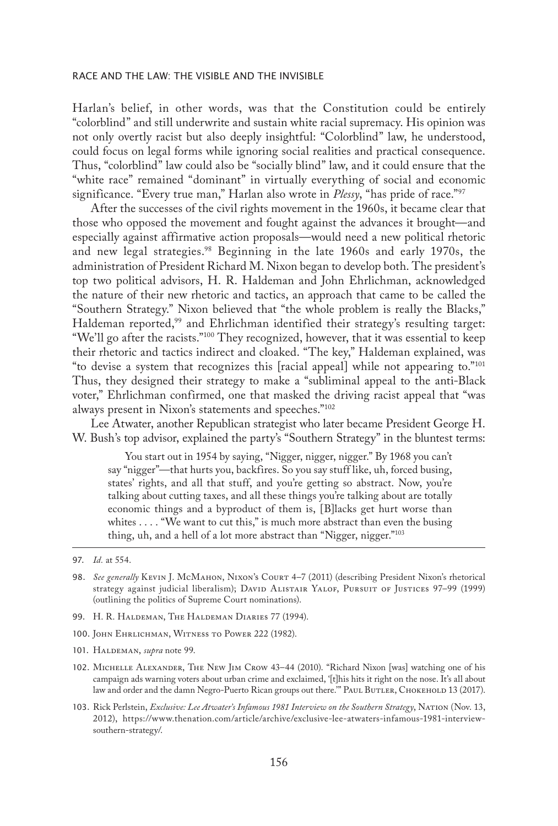Harlan's belief, in other words, was that the Constitution could be entirely "colorblind" and still underwrite and sustain white racial supremacy. His opinion was not only overtly racist but also deeply insightful: "Colorblind" law, he understood, could focus on legal forms while ignoring social realities and practical consequence. Thus, "colorblind" law could also be "socially blind" law, and it could ensure that the "white race" remained "dominant" in virtually everything of social and economic significance. "Every true man," Harlan also wrote in *Plessy*, "has pride of race."97

After the successes of the civil rights movement in the 1960s, it became clear that those who opposed the movement and fought against the advances it brought—and especially against affirmative action proposals—would need a new political rhetoric and new legal strategies.<sup>98</sup> Beginning in the late 1960s and early 1970s, the administration of President Richard M. Nixon began to develop both. The president's top two political advisors, H. R. Haldeman and John Ehrlichman, acknowledged the nature of their new rhetoric and tactics, an approach that came to be called the "Southern Strategy." Nixon believed that "the whole problem is really the Blacks," Haldeman reported,<sup>99</sup> and Ehrlichman identified their strategy's resulting target: "We'll go after the racists."100 They recognized, however, that it was essential to keep their rhetoric and tactics indirect and cloaked. "The key," Haldeman explained, was "to devise a system that recognizes this [racial appeal] while not appearing to."101 Thus, they designed their strategy to make a "subliminal appeal to the anti-Black voter," Ehrlichman confirmed, one that masked the driving racist appeal that "was always present in Nixon's statements and speeches."102

Lee Atwater, another Republican strategist who later became President George H. W. Bush's top advisor, explained the party's "Southern Strategy" in the bluntest terms:

You start out in 1954 by saying, "Nigger, nigger, nigger." By 1968 you can't say "nigger"—that hurts you, backfires. So you say stuff like, uh, forced busing, states' rights, and all that stuff, and you're getting so abstract. Now, you're talking about cutting taxes, and all these things you're talking about are totally economic things and a byproduct of them is, [B]lacks get hurt worse than whites . . . . "We want to cut this," is much more abstract than even the busing thing, uh, and a hell of a lot more abstract than "Nigger, nigger."103

- 98. *See generally* Kevin J. McMahon, Nixon's Court 4–7 (2011) (describing President Nixon's rhetorical strategy against judicial liberalism); DAVID ALISTAIR YALOF, PURSUIT OF JUSTICES 97-99 (1999) (outlining the politics of Supreme Court nominations).
- 99. H. R. HALDEMAN, THE HALDEMAN DIARIES 77 (1994).
- 100. John Ehrlichman, Witness to Power 222 (1982).
- 101. Haldeman, *supra* note 99.
- 102. Michelle Alexander, The New Jim Crow 43–44 (2010). "Richard Nixon [was] watching one of his campaign ads warning voters about urban crime and exclaimed, '[t]his hits it right on the nose. It's all about law and order and the damn Negro-Puerto Rican groups out there." PAUL BUTLER, CHOKEHOLD 13 (2017).
- 103. Rick Perlstein, *Exclusive: Lee Atwater's Infamous 1981 Interview on the Southern Strategy*, Nation (Nov. 13, 2012), https://www.thenation.com/article/archive/exclusive-lee-atwaters-infamous-1981-interviewsouthern-strategy/.

<sup>97.</sup> *Id.* at 554.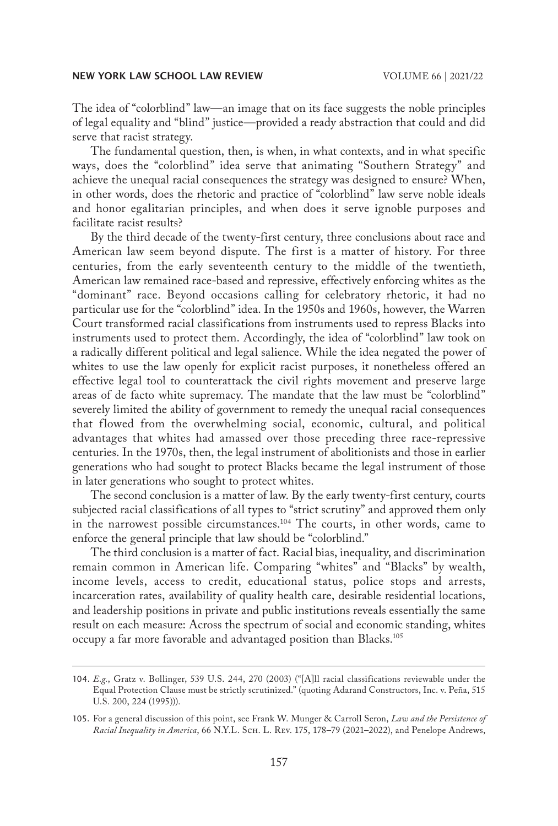The idea of "colorblind" law—an image that on its face suggests the noble principles of legal equality and "blind" justice—provided a ready abstraction that could and did serve that racist strategy.

The fundamental question, then, is when, in what contexts, and in what specific ways, does the "colorblind" idea serve that animating "Southern Strategy" and achieve the unequal racial consequences the strategy was designed to ensure? When, in other words, does the rhetoric and practice of "colorblind" law serve noble ideals and honor egalitarian principles, and when does it serve ignoble purposes and facilitate racist results?

By the third decade of the twenty-first century, three conclusions about race and American law seem beyond dispute. The first is a matter of history. For three centuries, from the early seventeenth century to the middle of the twentieth, American law remained race-based and repressive, effectively enforcing whites as the "dominant" race. Beyond occasions calling for celebratory rhetoric, it had no particular use for the "colorblind" idea. In the 1950s and 1960s, however, the Warren Court transformed racial classifications from instruments used to repress Blacks into instruments used to protect them. Accordingly, the idea of "colorblind" law took on a radically different political and legal salience. While the idea negated the power of whites to use the law openly for explicit racist purposes, it nonetheless offered an effective legal tool to counterattack the civil rights movement and preserve large areas of de facto white supremacy. The mandate that the law must be "colorblind" severely limited the ability of government to remedy the unequal racial consequences that flowed from the overwhelming social, economic, cultural, and political advantages that whites had amassed over those preceding three race-repressive centuries. In the 1970s, then, the legal instrument of abolitionists and those in earlier generations who had sought to protect Blacks became the legal instrument of those in later generations who sought to protect whites.

The second conclusion is a matter of law. By the early twenty-first century, courts subjected racial classifications of all types to "strict scrutiny" and approved them only in the narrowest possible circumstances.104 The courts, in other words, came to enforce the general principle that law should be "colorblind."

The third conclusion is a matter of fact. Racial bias, inequality, and discrimination remain common in American life. Comparing "whites" and "Blacks" by wealth, income levels, access to credit, educational status, police stops and arrests, incarceration rates, availability of quality health care, desirable residential locations, and leadership positions in private and public institutions reveals essentially the same result on each measure: Across the spectrum of social and economic standing, whites occupy a far more favorable and advantaged position than Blacks.105

<sup>104.</sup> *E.g.*, Gratz v. Bollinger, 539 U.S. 244, 270 (2003) ("[A]ll racial classifications reviewable under the Equal Protection Clause must be strictly scrutinized." (quoting Adarand Constructors, Inc. v. Peña, 515 U.S. 200, 224 (1995))).

<sup>105.</sup> For a general discussion of this point, see Frank W. Munger & Carroll Seron, *Law and the Persistence of Racial Inequality in America*, 66 N.Y.L. Sch. L. Rev. 175, 178–79 (2021–2022), and Penelope Andrews,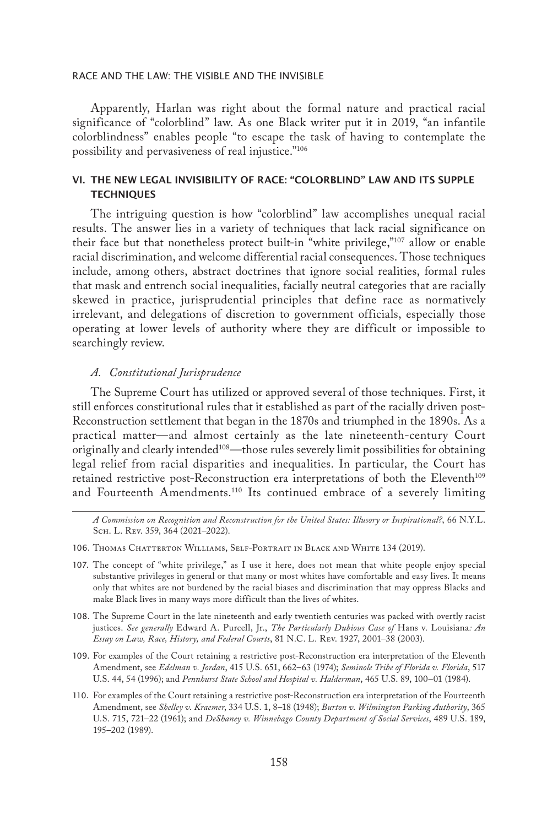Apparently, Harlan was right about the formal nature and practical racial significance of "colorblind" law. As one Black writer put it in 2019, "an infantile colorblindness" enables people "to escape the task of having to contemplate the possibility and pervasiveness of real injustice."106

# VI. THE NEW LEGAL INVISIBILITY OF RACE: "COLORBLIND" LAW AND ITS SUPPLE **TECHNIQUES**

The intriguing question is how "colorblind" law accomplishes unequal racial results. The answer lies in a variety of techniques that lack racial significance on their face but that nonetheless protect built-in "white privilege,"107 allow or enable racial discrimination, and welcome differential racial consequences. Those techniques include, among others, abstract doctrines that ignore social realities, formal rules that mask and entrench social inequalities, facially neutral categories that are racially skewed in practice, jurisprudential principles that define race as normatively irrelevant, and delegations of discretion to government officials, especially those operating at lower levels of authority where they are difficult or impossible to searchingly review.

#### *A. Constitutional Jurisprudence*

The Supreme Court has utilized or approved several of those techniques. First, it still enforces constitutional rules that it established as part of the racially driven post-Reconstruction settlement that began in the 1870s and triumphed in the 1890s. As a practical matter—and almost certainly as the late nineteenth-century Court originally and clearly intended108—those rules severely limit possibilities for obtaining legal relief from racial disparities and inequalities. In particular, the Court has retained restrictive post-Reconstruction era interpretations of both the Eleventh<sup>109</sup> and Fourteenth Amendments.110 Its continued embrace of a severely limiting

*A Commission on Recognition and Reconstruction for the United States: Illusory or Inspirational?*, 66 N.Y.L. Sch. L. Rev. 359, 364 (2021–2022).

- 107. The concept of "white privilege," as I use it here, does not mean that white people enjoy special substantive privileges in general or that many or most whites have comfortable and easy lives. It means only that whites are not burdened by the racial biases and discrimination that may oppress Blacks and make Black lives in many ways more difficult than the lives of whites.
- 108. The Supreme Court in the late nineteenth and early twentieth centuries was packed with overtly racist justices. *See generally* Edward A. Purcell, Jr., *The Particularly Dubious Case of* Hans v. Louisiana*: An Essay on Law, Race, History, and Federal Courts*, 81 N.C. L. Rev. 1927, 2001–38 (2003).
- 109. For examples of the Court retaining a restrictive post-Reconstruction era interpretation of the Eleventh Amendment, see *Edelman v. Jordan*, 415 U.S. 651, 662–63 (1974); *Seminole Tribe of Florida v. Florida*, 517 U.S. 44, 54 (1996); and *Pennhurst State School and Hospital v. Halderman*, 465 U.S. 89, 100–01 (1984).
- 110. For examples of the Court retaining a restrictive post-Reconstruction era interpretation of the Fourteenth Amendment, see *Shelley v. Kraemer*, 334 U.S. 1, 8–18 (1948); *Burton v. Wilmington Parking Authority*, 365 U.S. 715, 721–22 (1961); and *DeShaney v. Winnebago County Department of Social Services*, 489 U.S. 189, 195–202 (1989).

<sup>106.</sup> Thomas Chatterton Williams, Self-Portrait in Black and White 134 (2019).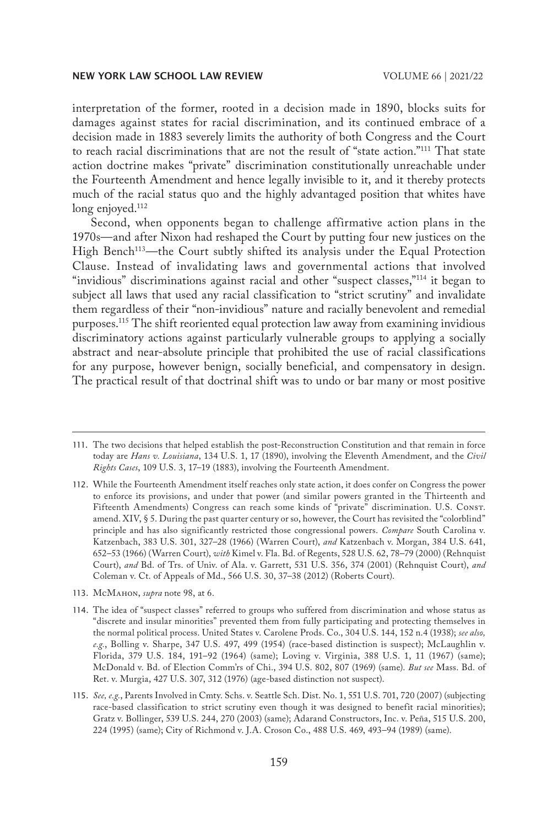interpretation of the former, rooted in a decision made in 1890, blocks suits for damages against states for racial discrimination, and its continued embrace of a decision made in 1883 severely limits the authority of both Congress and the Court to reach racial discriminations that are not the result of "state action."111 That state action doctrine makes "private" discrimination constitutionally unreachable under the Fourteenth Amendment and hence legally invisible to it, and it thereby protects much of the racial status quo and the highly advantaged position that whites have long enjoyed.<sup>112</sup>

Second, when opponents began to challenge affirmative action plans in the 1970s—and after Nixon had reshaped the Court by putting four new justices on the High Bench<sup>113</sup>—the Court subtly shifted its analysis under the Equal Protection Clause. Instead of invalidating laws and governmental actions that involved "invidious" discriminations against racial and other "suspect classes,"<sup>114</sup> it began to subject all laws that used any racial classification to "strict scrutiny" and invalidate them regardless of their "non-invidious" nature and racially benevolent and remedial purposes.115 The shift reoriented equal protection law away from examining invidious discriminatory actions against particularly vulnerable groups to applying a socially abstract and near-absolute principle that prohibited the use of racial classifications for any purpose, however benign, socially beneficial, and compensatory in design. The practical result of that doctrinal shift was to undo or bar many or most positive

113. McMahon, *supra* note 98, at 6.

<sup>111.</sup> The two decisions that helped establish the post-Reconstruction Constitution and that remain in force today are *Hans v. Louisiana*, 134 U.S. 1, 17 (1890), involving the Eleventh Amendment, and the *Civil Rights Cases*, 109 U.S. 3, 17–19 (1883), involving the Fourteenth Amendment.

<sup>112.</sup> While the Fourteenth Amendment itself reaches only state action, it does confer on Congress the power to enforce its provisions, and under that power (and similar powers granted in the Thirteenth and Fifteenth Amendments) Congress can reach some kinds of "private" discrimination. U.S. Const. amend. XIV, § 5. During the past quarter century or so, however, the Court has revisited the "colorblind" principle and has also significantly restricted those congressional powers. *Compare* South Carolina v. Katzenbach, 383 U.S. 301, 327–28 (1966) (Warren Court), *and* Katzenbach v. Morgan, 384 U.S. 641, 652–53 (1966) (Warren Court), *with* Kimel v. Fla. Bd. of Regents, 528 U.S. 62, 78–79 (2000) (Rehnquist Court), *and* Bd. of Trs. of Univ. of Ala. v. Garrett, 531 U.S. 356, 374 (2001) (Rehnquist Court), *and*  Coleman v. Ct. of Appeals of Md., 566 U.S. 30, 37–38 (2012) (Roberts Court).

<sup>114.</sup> The idea of "suspect classes" referred to groups who suffered from discrimination and whose status as "discrete and insular minorities" prevented them from fully participating and protecting themselves in the normal political process. United States v. Carolene Prods. Co., 304 U.S. 144, 152 n.4 (1938); *see also, e.g.*, Bolling v. Sharpe, 347 U.S. 497, 499 (1954) (race-based distinction is suspect); McLaughlin v. Florida, 379 U.S. 184, 191–92 (1964) (same); Loving v. Virginia, 388 U.S. 1, 11 (1967) (same); McDonald v. Bd. of Election Comm'rs of Chi., 394 U.S. 802, 807 (1969) (same). *But see* Mass. Bd. of Ret. v. Murgia, 427 U.S. 307, 312 (1976) (age-based distinction not suspect).

<sup>115.</sup> *See, e.g.*, Parents Involved in Cmty. Schs. v. Seattle Sch. Dist. No. 1, 551 U.S. 701, 720 (2007) (subjecting race-based classification to strict scrutiny even though it was designed to benefit racial minorities); Gratz v. Bollinger, 539 U.S. 244, 270 (2003) (same); Adarand Constructors, Inc. v. Peña, 515 U.S. 200, 224 (1995) (same); City of Richmond v. J.A. Croson Co., 488 U.S. 469, 493–94 (1989) (same).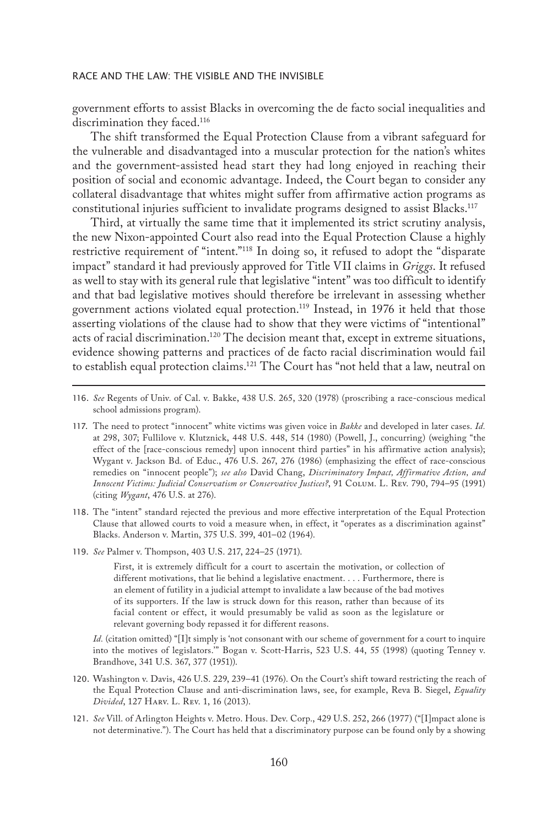government efforts to assist Blacks in overcoming the de facto social inequalities and discrimination they faced.<sup>116</sup>

The shift transformed the Equal Protection Clause from a vibrant safeguard for the vulnerable and disadvantaged into a muscular protection for the nation's whites and the government-assisted head start they had long enjoyed in reaching their position of social and economic advantage. Indeed, the Court began to consider any collateral disadvantage that whites might suffer from affirmative action programs as constitutional injuries sufficient to invalidate programs designed to assist Blacks.<sup>117</sup>

Third, at virtually the same time that it implemented its strict scrutiny analysis, the new Nixon-appointed Court also read into the Equal Protection Clause a highly restrictive requirement of "intent."<sup>118</sup> In doing so, it refused to adopt the "disparate impact" standard it had previously approved for Title VII claims in *Griggs*. It refused as well to stay with its general rule that legislative "intent" was too difficult to identify and that bad legislative motives should therefore be irrelevant in assessing whether government actions violated equal protection.<sup>119</sup> Instead, in 1976 it held that those asserting violations of the clause had to show that they were victims of "intentional" acts of racial discrimination.<sup>120</sup> The decision meant that, except in extreme situations, evidence showing patterns and practices of de facto racial discrimination would fail to establish equal protection claims.121 The Court has "not held that a law, neutral on

- 118. The "intent" standard rejected the previous and more effective interpretation of the Equal Protection Clause that allowed courts to void a measure when, in effect, it "operates as a discrimination against" Blacks. Anderson v. Martin, 375 U.S. 399, 401–02 (1964).
- 119. *See* Palmer v. Thompson, 403 U.S. 217, 224–25 (1971).

First, it is extremely difficult for a court to ascertain the motivation, or collection of different motivations, that lie behind a legislative enactment. . . . Furthermore, there is an element of futility in a judicial attempt to invalidate a law because of the bad motives of its supporters. If the law is struck down for this reason, rather than because of its facial content or effect, it would presumably be valid as soon as the legislature or relevant governing body repassed it for different reasons.

*Id.* (citation omitted) "[I]t simply is 'not consonant with our scheme of government for a court to inquire into the motives of legislators.'" Bogan v. Scott-Harris, 523 U.S. 44, 55 (1998) (quoting Tenney v. Brandhove, 341 U.S. 367, 377 (1951)).

- 120. Washington v. Davis, 426 U.S. 229, 239–41 (1976). On the Court's shift toward restricting the reach of the Equal Protection Clause and anti-discrimination laws, see, for example, Reva B. Siegel, *Equality Divided*, 127 Harv. L. Rev. 1, 16 (2013).
- 121. *See* Vill. of Arlington Heights v. Metro. Hous. Dev. Corp., 429 U.S. 252, 266 (1977) ("[I]mpact alone is not determinative."). The Court has held that a discriminatory purpose can be found only by a showing

<sup>116.</sup> *See* Regents of Univ. of Cal. v. Bakke, 438 U.S. 265, 320 (1978) (proscribing a race-conscious medical school admissions program).

<sup>117.</sup> The need to protect "innocent" white victims was given voice in *Bakke* and developed in later cases. *Id.*  at 298, 307; Fullilove v. Klutznick, 448 U.S. 448, 514 (1980) (Powell, J., concurring) (weighing "the effect of the [race-conscious remedy] upon innocent third parties" in his affirmative action analysis); Wygant v. Jackson Bd. of Educ., 476 U.S. 267, 276 (1986) (emphasizing the effect of race-conscious remedies on "innocent people"); *see also* David Chang, *Discriminatory Impact, Affirmative Action, and Innocent Victims: Judicial Conservatism or Conservative Justices?*, 91 Colum. L. Rev. 790, 794–95 (1991) (citing *Wygant*, 476 U.S. at 276).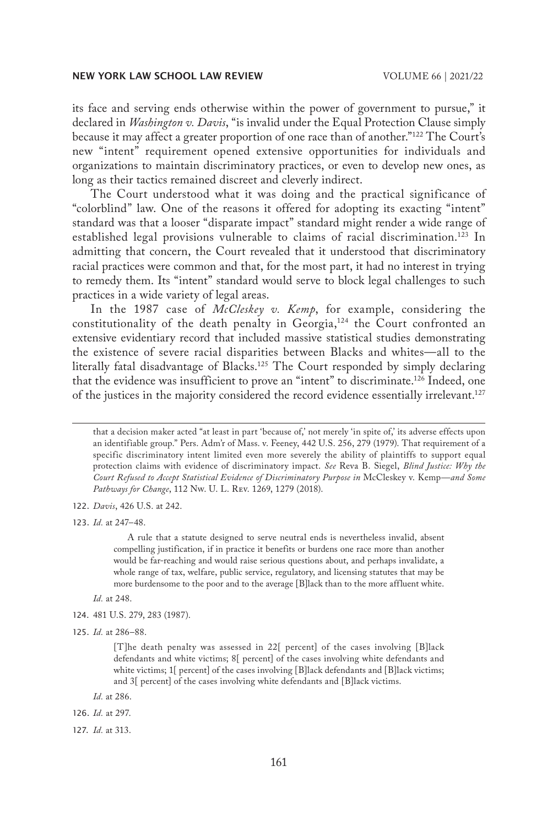its face and serving ends otherwise within the power of government to pursue," it declared in *Washington v. Davis*, "is invalid under the Equal Protection Clause simply because it may affect a greater proportion of one race than of another."122 The Court's new "intent" requirement opened extensive opportunities for individuals and organizations to maintain discriminatory practices, or even to develop new ones, as long as their tactics remained discreet and cleverly indirect.

The Court understood what it was doing and the practical significance of "colorblind" law. One of the reasons it offered for adopting its exacting "intent" standard was that a looser "disparate impact" standard might render a wide range of established legal provisions vulnerable to claims of racial discrimination.<sup>123</sup> In admitting that concern, the Court revealed that it understood that discriminatory racial practices were common and that, for the most part, it had no interest in trying to remedy them. Its "intent" standard would serve to block legal challenges to such practices in a wide variety of legal areas.

In the 1987 case of *McCleskey v. Kemp*, for example, considering the constitutionality of the death penalty in Georgia, $124$  the Court confronted an extensive evidentiary record that included massive statistical studies demonstrating the existence of severe racial disparities between Blacks and whites—all to the literally fatal disadvantage of Blacks.<sup>125</sup> The Court responded by simply declaring that the evidence was insufficient to prove an "intent" to discriminate.126 Indeed, one of the justices in the majority considered the record evidence essentially irrelevant.127

that a decision maker acted "at least in part 'because of,' not merely 'in spite of,' its adverse effects upon an identifiable group." Pers. Adm'r of Mass. v. Feeney, 442 U.S. 256, 279 (1979). That requirement of a specific discriminatory intent limited even more severely the ability of plaintiffs to support equal protection claims with evidence of discriminatory impact. *See* Reva B. Siegel, *Blind Justice: Why the Court Refused to Accept Statistical Evidence of Discriminatory Purpose in* McCleskey v. Kemp*—and Some Pathways for Change*, 112 Nw. U. L. Rev. 1269, 1279 (2018).

122. *Davis*, 426 U.S. at 242.

123. *Id.* at 247–48.

A rule that a statute designed to serve neutral ends is nevertheless invalid, absent compelling justification, if in practice it benefits or burdens one race more than another would be far-reaching and would raise serious questions about, and perhaps invalidate, a whole range of tax, welfare, public service, regulatory, and licensing statutes that may be more burdensome to the poor and to the average [B]lack than to the more affluent white.

- *Id.* at 248.
- 124. 481 U.S. 279, 283 (1987).
- 125. *Id.* at 286–88.

*Id.* at 286.

126. *Id.* at 297.

127. *Id.* at 313.

<sup>[</sup>T]he death penalty was assessed in 22[ percent] of the cases involving [B]lack defendants and white victims; 8[ percent] of the cases involving white defendants and white victims; 1[ percent] of the cases involving [B]lack defendants and [B]lack victims; and 3[ percent] of the cases involving white defendants and [B]lack victims.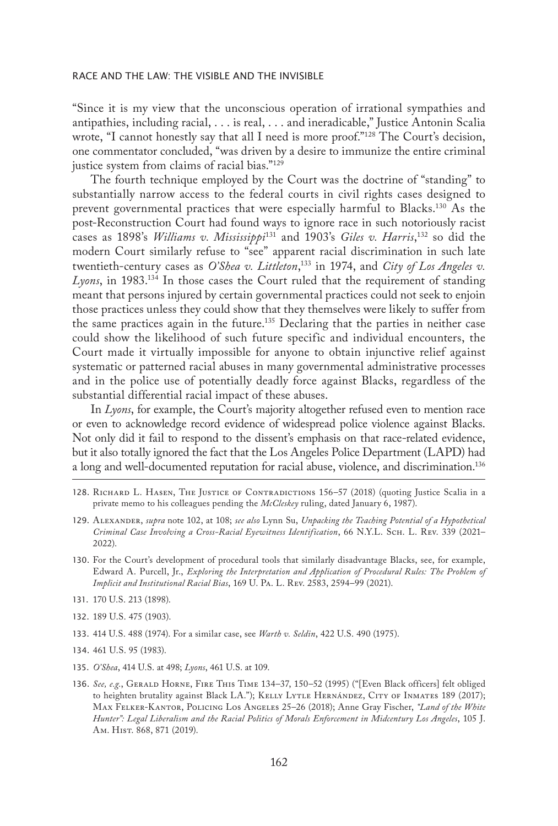"Since it is my view that the unconscious operation of irrational sympathies and antipathies, including racial, . . . is real, . . . and ineradicable," Justice Antonin Scalia wrote, "I cannot honestly say that all I need is more proof."128 The Court's decision, one commentator concluded, "was driven by a desire to immunize the entire criminal justice system from claims of racial bias."129

The fourth technique employed by the Court was the doctrine of "standing" to substantially narrow access to the federal courts in civil rights cases designed to prevent governmental practices that were especially harmful to Blacks.130 As the post-Reconstruction Court had found ways to ignore race in such notoriously racist cases as 1898's *Williams v. Mississippi*131 and 1903's *Giles v. Harris*, 132 so did the modern Court similarly refuse to "see" apparent racial discrimination in such late twentieth-century cases as *O'Shea v. Littleton*, 133 in 1974, and *City of Los Angeles v. Lyons*, in 1983.134 In those cases the Court ruled that the requirement of standing meant that persons injured by certain governmental practices could not seek to enjoin those practices unless they could show that they themselves were likely to suffer from the same practices again in the future.135 Declaring that the parties in neither case could show the likelihood of such future specific and individual encounters, the Court made it virtually impossible for anyone to obtain injunctive relief against systematic or patterned racial abuses in many governmental administrative processes and in the police use of potentially deadly force against Blacks, regardless of the substantial differential racial impact of these abuses.

In *Lyons*, for example, the Court's majority altogether refused even to mention race or even to acknowledge record evidence of widespread police violence against Blacks. Not only did it fail to respond to the dissent's emphasis on that race-related evidence, but it also totally ignored the fact that the Los Angeles Police Department (LAPD) had a long and well-documented reputation for racial abuse, violence, and discrimination.136

- 128. Richard L. Hasen, The Justice of Contradictions 156–57 (2018) (quoting Justice Scalia in a private memo to his colleagues pending the *McCleskey* ruling, dated January 6, 1987).
- 129. Alexander, *supra* note 102, at 108; *see also* Lynn Su, *Unpacking the Teaching Potential of a Hypothetical Criminal Case Involving a Cross-Racial Eyewitness Identification*, 66 N.Y.L. Sch. L. Rev. 339 (2021– 2022).
- 130. For the Court's development of procedural tools that similarly disadvantage Blacks, see, for example, Edward A. Purcell, Jr., *Exploring the Interpretation and Application of Procedural Rules: The Problem of Implicit and Institutional Racial Bias*, 169 U. Pa. L. Rev. 2583, 2594–99 (2021).
- 131. 170 U.S. 213 (1898).
- 132. 189 U.S. 475 (1903).
- 133. 414 U.S. 488 (1974). For a similar case, see *Warth v. Seldin*, 422 U.S. 490 (1975).
- 134. 461 U.S. 95 (1983).
- 135. *O'Shea*, 414 U.S. at 498; *Lyons*, 461 U.S. at 109.
- 136. *See, e.g.*, Gerald Horne, Fire This Time 134–37, 150–52 (1995) ("[Even Black officers] felt obliged to heighten brutality against Black LA."); KELLY LYTLE HERNÁNDEZ, CITY OF INMATES 189 (2017); Max Felker-Kantor, Policing Los Angeles 25–26 (2018); Anne Gray Fischer, *"Land of the White Hunter": Legal Liberalism and the Racial Politics of Morals Enforcement in Midcentury Los Angeles*, 105 J. Am. Hist. 868, 871 (2019).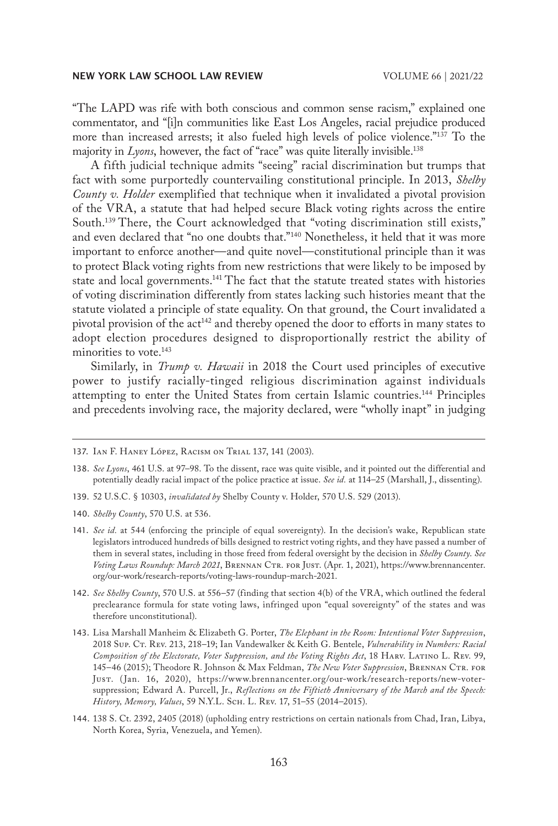"The LAPD was rife with both conscious and common sense racism," explained one commentator, and "[i]n communities like East Los Angeles, racial prejudice produced more than increased arrests; it also fueled high levels of police violence."137 To the majority in *Lyons*, however, the fact of "race" was quite literally invisible.<sup>138</sup>

A fifth judicial technique admits "seeing" racial discrimination but trumps that fact with some purportedly countervailing constitutional principle. In 2013, *Shelby County v. Holder* exemplified that technique when it invalidated a pivotal provision of the VRA, a statute that had helped secure Black voting rights across the entire South.<sup>139</sup> There, the Court acknowledged that "voting discrimination still exists," and even declared that "no one doubts that."140 Nonetheless, it held that it was more important to enforce another—and quite novel—constitutional principle than it was to protect Black voting rights from new restrictions that were likely to be imposed by state and local governments.<sup>141</sup> The fact that the statute treated states with histories of voting discrimination differently from states lacking such histories meant that the statute violated a principle of state equality. On that ground, the Court invalidated a pivotal provision of the act<sup>142</sup> and thereby opened the door to efforts in many states to adopt election procedures designed to disproportionally restrict the ability of minorities to vote.<sup>143</sup>

Similarly, in *Trump v. Hawaii* in 2018 the Court used principles of executive power to justify racially-tinged religious discrimination against individuals attempting to enter the United States from certain Islamic countries.144 Principles and precedents involving race, the majority declared, were "wholly inapt" in judging

- 139. 52 U.S.C. § 10303, *invalidated by* Shelby County v. Holder, 570 U.S. 529 (2013).
- 140. *Shelby County*, 570 U.S. at 536.

- 142. *See Shelby County*, 570 U.S. at 556–57 (finding that section 4(b) of the VRA, which outlined the federal preclearance formula for state voting laws, infringed upon "equal sovereignty" of the states and was therefore unconstitutional).
- 143. Lisa Marshall Manheim & Elizabeth G. Porter, *The Elephant in the Room: Intentional Voter Suppression*, 2018 Sup. Ct. Rev. 213, 218–19; Ian Vandewalker & Keith G. Bentele, *Vulnerability in Numbers: Racial Composition of the Electorate, Voter Suppression, and the Voting Rights Act*, 18 Harv. Latino L. Rev. 99, 145–46 (2015); Theodore R. Johnson & Max Feldman, *The New Voter Suppression*, Brennan Ctr. for Just. (Jan. 16, 2020), https://www.brennancenter.org/our-work/research-reports/new-votersuppression; Edward A. Purcell, Jr., *Reflections on the Fiftieth Anniversary of the March and the Speech: History, Memory, Values*, 59 N.Y.L. Sch. L. Rev. 17, 51–55 (2014–2015).
- 144. 138 S. Ct. 2392, 2405 (2018) (upholding entry restrictions on certain nationals from Chad, Iran, Libya, North Korea, Syria, Venezuela, and Yemen).

<sup>137.</sup> Ian F. Haney López, Racism on Trial 137, 141 (2003).

<sup>138.</sup> *See Lyons*, 461 U.S. at 97–98. To the dissent, race was quite visible, and it pointed out the differential and potentially deadly racial impact of the police practice at issue. *See id.* at 114–25 (Marshall, J., dissenting).

<sup>141.</sup> *See id.* at 544 (enforcing the principle of equal sovereignty). In the decision's wake, Republican state legislators introduced hundreds of bills designed to restrict voting rights, and they have passed a number of them in several states, including in those freed from federal oversight by the decision in *Shelby County*. *See* Voting Laws Roundup: March 2021, BRENNAN CTR. FOR JUST. (Apr. 1, 2021), https://www.brennancenter. org/our-work/research-reports/voting-laws-roundup-march-2021.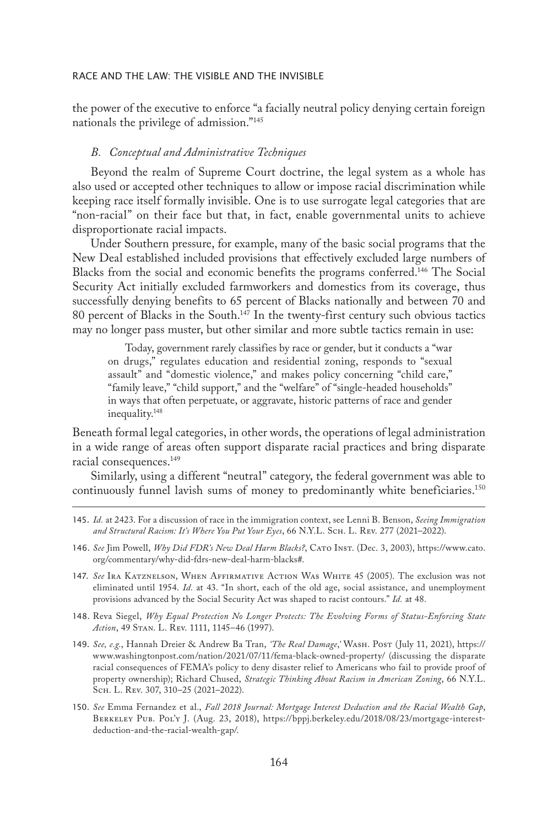the power of the executive to enforce "a facially neutral policy denying certain foreign nationals the privilege of admission."145

## *B. Conceptual and Administrative Techniques*

Beyond the realm of Supreme Court doctrine, the legal system as a whole has also used or accepted other techniques to allow or impose racial discrimination while keeping race itself formally invisible. One is to use surrogate legal categories that are "non-racial" on their face but that, in fact, enable governmental units to achieve disproportionate racial impacts.

Under Southern pressure, for example, many of the basic social programs that the New Deal established included provisions that effectively excluded large numbers of Blacks from the social and economic benefits the programs conferred.146 The Social Security Act initially excluded farmworkers and domestics from its coverage, thus successfully denying benefits to 65 percent of Blacks nationally and between 70 and 80 percent of Blacks in the South.147 In the twenty-first century such obvious tactics may no longer pass muster, but other similar and more subtle tactics remain in use:

Today, government rarely classifies by race or gender, but it conducts a "war on drugs," regulates education and residential zoning, responds to "sexual assault" and "domestic violence," and makes policy concerning "child care," "family leave," "child support," and the "welfare" of "single-headed households" in ways that often perpetuate, or aggravate, historic patterns of race and gender inequality.148

Beneath formal legal categories, in other words, the operations of legal administration in a wide range of areas often support disparate racial practices and bring disparate racial consequences.<sup>149</sup>

Similarly, using a different "neutral" category, the federal government was able to continuously funnel lavish sums of money to predominantly white beneficiaries.150

- 146. *See* Jim Powell, *Why Did FDR's New Deal Harm Blacks?*, Cato Inst. (Dec. 3, 2003), https://www.cato. org/commentary/why-did-fdrs-new-deal-harm-blacks#.
- 147. *See* Ira Katznelson, When Affirmative Action Was White 45 (2005). The exclusion was not eliminated until 1954. *Id.* at 43. "In short, each of the old age, social assistance, and unemployment provisions advanced by the Social Security Act was shaped to racist contours." *Id.* at 48.
- 148. Reva Siegel, *Why Equal Protection No Longer Protects: The Evolving Forms of Status-Enforcing State Action*, 49 Stan. L. Rev. 1111, 1145–46 (1997).
- 149. *See, e.g.*, Hannah Dreier & Andrew Ba Tran, *'The Real Damage*,*'* Wash. Post (July 11, 2021), https:// www.washingtonpost.com/nation/2021/07/11/fema-black-owned-property/ (discussing the disparate racial consequences of FEMA's policy to deny disaster relief to Americans who fail to provide proof of property ownership); Richard Chused, *Strategic Thinking About Racism in American Zoning*, 66 N.Y.L. Sch. L. Rev. 307, 310–25 (2021–2022).
- 150. *See* Emma Fernandez et al., *Fall 2018 Journal: Mortgage Interest Deduction and the Racial Wealth Gap*, Berkeley Pub. Pol'y J. (Aug. 23, 2018), https://bppj.berkeley.edu/2018/08/23/mortgage-interestdeduction-and-the-racial-wealth-gap/.

<sup>145.</sup> *Id.* at 2423. For a discussion of race in the immigration context, see Lenni B. Benson, *Seeing Immigration and Structural Racism: It's Where You Put Your Eyes*, 66 N.Y.L. Sch. L. Rev. 277 (2021–2022).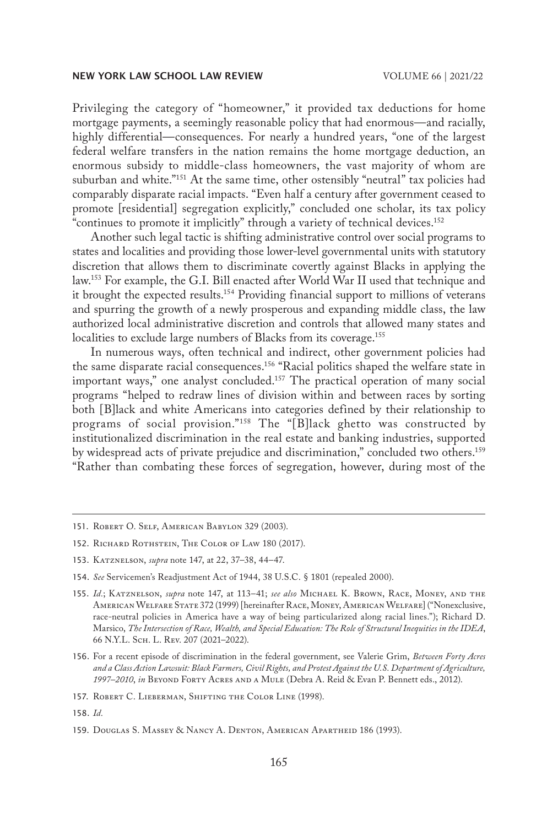Privileging the category of "homeowner," it provided tax deductions for home mortgage payments, a seemingly reasonable policy that had enormous—and racially, highly differential—consequences. For nearly a hundred years, "one of the largest federal welfare transfers in the nation remains the home mortgage deduction, an enormous subsidy to middle-class homeowners, the vast majority of whom are suburban and white."<sup>151</sup> At the same time, other ostensibly "neutral" tax policies had comparably disparate racial impacts. "Even half a century after government ceased to promote [residential] segregation explicitly," concluded one scholar, its tax policy "continues to promote it implicitly" through a variety of technical devices.152

Another such legal tactic is shifting administrative control over social programs to states and localities and providing those lower-level governmental units with statutory discretion that allows them to discriminate covertly against Blacks in applying the law.153 For example, the G.I. Bill enacted after World War II used that technique and it brought the expected results.<sup>154</sup> Providing financial support to millions of veterans and spurring the growth of a newly prosperous and expanding middle class, the law authorized local administrative discretion and controls that allowed many states and localities to exclude large numbers of Blacks from its coverage.<sup>155</sup>

In numerous ways, often technical and indirect, other government policies had the same disparate racial consequences.<sup>156</sup> "Racial politics shaped the welfare state in important ways," one analyst concluded.<sup>157</sup> The practical operation of many social programs "helped to redraw lines of division within and between races by sorting both [B]lack and white Americans into categories defined by their relationship to programs of social provision."158 The "[B]lack ghetto was constructed by institutionalized discrimination in the real estate and banking industries, supported by widespread acts of private prejudice and discrimination," concluded two others.159 "Rather than combating these forces of segregation, however, during most of the

<sup>151.</sup> Robert O. Self, American Babylon 329 (2003).

<sup>152.</sup> RICHARD ROTHSTEIN, THE COLOR OF LAW 180 (2017).

<sup>153.</sup> Katznelson, *supra* note 147, at 22, 37–38, 44–47.

<sup>154.</sup> *See* Servicemen's Readjustment Act of 1944, 38 U.S.C. § 1801 (repealed 2000).

<sup>155.</sup> *Id.*; Katznelson, *supra* note 147, at 113–41; *see also* Michael K. Brown, Race, Money, and the American Welfare State 372 (1999) [hereinafter Race, Money, American Welfare] ("Nonexclusive, race-neutral policies in America have a way of being particularized along racial lines."); Richard D. Marsico, *The Intersection of Race, Wealth, and Special Education: The Role of Structural Inequities in the IDEA*, 66 N.Y.L. Sch. L. Rev. 207 (2021–2022).

<sup>156.</sup> For a recent episode of discrimination in the federal government, see Valerie Grim, *Between Forty Acres and a Class Action Lawsuit: Black Farmers, Civil Rights, and Protest Against the U.S. Department of Agriculture, 1997–2010*, *in* Beyond Forty Acres and a Mule (Debra A. Reid & Evan P. Bennett eds., 2012).

<sup>157.</sup> ROBERT C. LIEBERMAN, SHIFTING THE COLOR LINE (1998).

<sup>158.</sup> *Id.*

<sup>159.</sup> Douglas S. Massey & Nancy A. Denton, American Apartheid 186 (1993).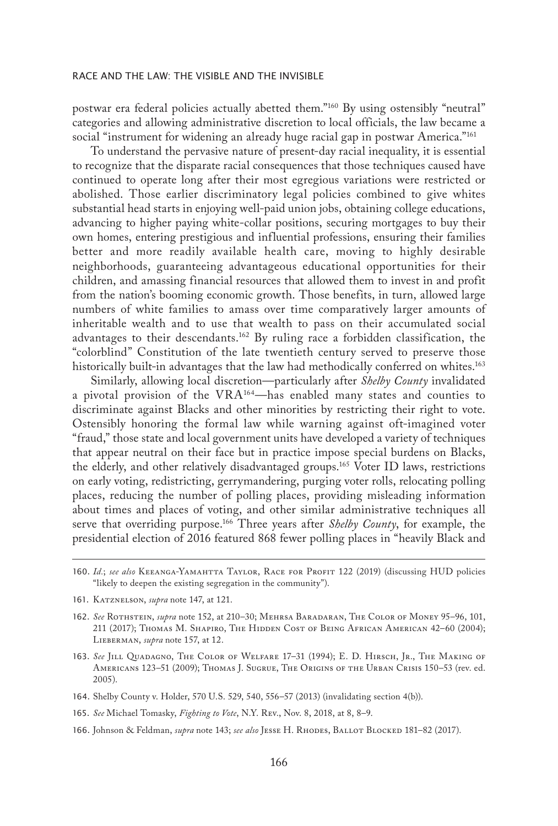postwar era federal policies actually abetted them."160 By using ostensibly "neutral" categories and allowing administrative discretion to local officials, the law became a social "instrument for widening an already huge racial gap in postwar America."<sup>161</sup>

To understand the pervasive nature of present-day racial inequality, it is essential to recognize that the disparate racial consequences that those techniques caused have continued to operate long after their most egregious variations were restricted or abolished. Those earlier discriminatory legal policies combined to give whites substantial head starts in enjoying well-paid union jobs, obtaining college educations, advancing to higher paying white-collar positions, securing mortgages to buy their own homes, entering prestigious and influential professions, ensuring their families better and more readily available health care, moving to highly desirable neighborhoods, guaranteeing advantageous educational opportunities for their children, and amassing financial resources that allowed them to invest in and profit from the nation's booming economic growth. Those benefits, in turn, allowed large numbers of white families to amass over time comparatively larger amounts of inheritable wealth and to use that wealth to pass on their accumulated social advantages to their descendants.162 By ruling race a forbidden classification, the "colorblind" Constitution of the late twentieth century served to preserve those historically built-in advantages that the law had methodically conferred on whites.<sup>163</sup>

Similarly, allowing local discretion—particularly after *Shelby County* invalidated a pivotal provision of the VRA164—has enabled many states and counties to discriminate against Blacks and other minorities by restricting their right to vote. Ostensibly honoring the formal law while warning against oft-imagined voter "fraud," those state and local government units have developed a variety of techniques that appear neutral on their face but in practice impose special burdens on Blacks, the elderly, and other relatively disadvantaged groups.165 Voter ID laws, restrictions on early voting, redistricting, gerrymandering, purging voter rolls, relocating polling places, reducing the number of polling places, providing misleading information about times and places of voting, and other similar administrative techniques all serve that overriding purpose.166 Three years after *Shelby County*, for example, the presidential election of 2016 featured 868 fewer polling places in "heavily Black and

- 161. Katznelson, *supra* note 147, at 121.
- 162. *See* Rothstein, *supra* note 152, at 210–30; Mehrsa Baradaran, The Color of Money 95–96, 101, 211 (2017); Thomas M. Shapiro, The Hidden Cost of Being African American 42-60 (2004); Lieberman, *supra* note 157, at 12.
- 163. See Jill Quadagno, The Color of Welfare 17-31 (1994); E. D. Hirsch, Jr., The Making of Americans 123–51 (2009); Thomas J. Sugrue, The Origins of the Urban Crisis 150–53 (rev. ed. 2005).
- 164. Shelby County v. Holder, 570 U.S. 529, 540, 556–57 (2013) (invalidating section 4(b)).
- 165. *See* Michael Tomasky, *Fighting to Vote*, N.Y. Rev., Nov. 8, 2018, at 8, 8–9.
- 166. Johnson & Feldman, *supra* note 143; *see also* Jesse H. Rhodes, Ballot Blocked 181–82 (2017).

<sup>160.</sup> *Id.*; *see also* Keeanga-Yamahtta Taylor, Race for Profit 122 (2019) (discussing HUD policies "likely to deepen the existing segregation in the community").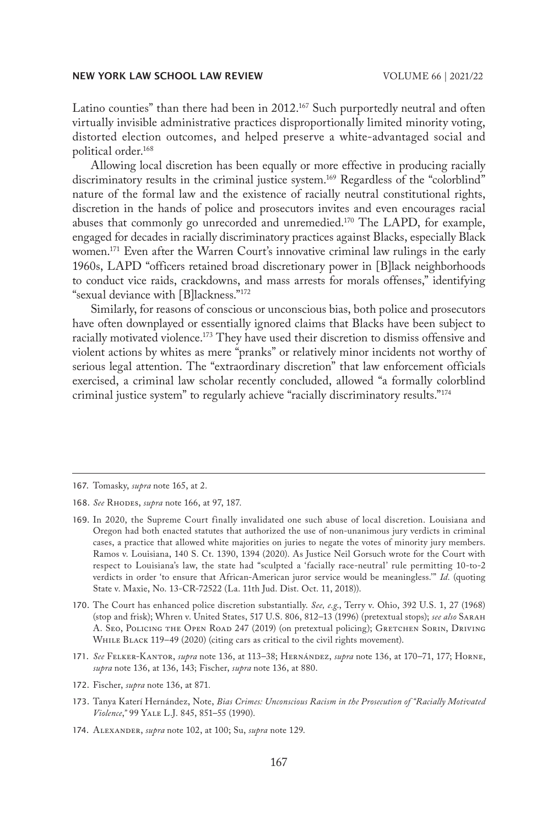Latino counties" than there had been in  $2012<sup>167</sup>$  Such purportedly neutral and often virtually invisible administrative practices disproportionally limited minority voting, distorted election outcomes, and helped preserve a white-advantaged social and political order.168

Allowing local discretion has been equally or more effective in producing racially discriminatory results in the criminal justice system.<sup>169</sup> Regardless of the "colorblind" nature of the formal law and the existence of racially neutral constitutional rights, discretion in the hands of police and prosecutors invites and even encourages racial abuses that commonly go unrecorded and unremedied.170 The LAPD, for example, engaged for decades in racially discriminatory practices against Blacks, especially Black women.<sup>171</sup> Even after the Warren Court's innovative criminal law rulings in the early 1960s, LAPD "officers retained broad discretionary power in [B]lack neighborhoods to conduct vice raids, crackdowns, and mass arrests for morals offenses," identifying "sexual deviance with [B]lackness."172

Similarly, for reasons of conscious or unconscious bias, both police and prosecutors have often downplayed or essentially ignored claims that Blacks have been subject to racially motivated violence.<sup>173</sup> They have used their discretion to dismiss offensive and violent actions by whites as mere "pranks" or relatively minor incidents not worthy of serious legal attention. The "extraordinary discretion" that law enforcement officials exercised, a criminal law scholar recently concluded, allowed "a formally colorblind criminal justice system" to regularly achieve "racially discriminatory results."174

171. *See* Felker-Kantor, *supra* note 136, at 113–38; Hernández, *supra* note 136, at 170–71, 177; Horne, *supra* note 136, at 136, 143; Fischer, *supra* note 136, at 880.

<sup>167.</sup> Tomasky, *supra* note 165, at 2.

<sup>168.</sup> *See* Rhodes, *supra* note 166, at 97, 187.

<sup>169.</sup> In 2020, the Supreme Court finally invalidated one such abuse of local discretion. Louisiana and Oregon had both enacted statutes that authorized the use of non-unanimous jury verdicts in criminal cases, a practice that allowed white majorities on juries to negate the votes of minority jury members. Ramos v. Louisiana, 140 S. Ct. 1390, 1394 (2020). As Justice Neil Gorsuch wrote for the Court with respect to Louisiana's law, the state had "sculpted a 'facially race-neutral' rule permitting 10-to-2 verdicts in order 'to ensure that African-American juror service would be meaningless.'" *Id.* (quoting State v. Maxie, No. 13-CR-72522 (La. 11th Jud. Dist. Oct. 11, 2018)).

<sup>170.</sup> The Court has enhanced police discretion substantially. *See, e.g*., Terry v. Ohio, 392 U.S. 1, 27 (1968) (stop and frisk); Whren v. United States, 517 U.S. 806, 812–13 (1996) (pretextual stops); *see also* Sarah A. Seo, Policing the Open Road 247 (2019) (on pretextual policing); GRETCHEN SORIN, DRIVING WHILE BLACK 119-49 (2020) (citing cars as critical to the civil rights movement).

<sup>172.</sup> Fischer, *supra* note 136, at 871*.*

<sup>173.</sup> Tanya Katerí Hernández, Note, *Bias Crimes: Unconscious Racism in the Prosecution of "Racially Motivated Violence*,*"* 99 Yale L.J. 845, 851–55 (1990).

<sup>174.</sup> Alexander, *supra* note 102, at 100; Su, *supra* note 129.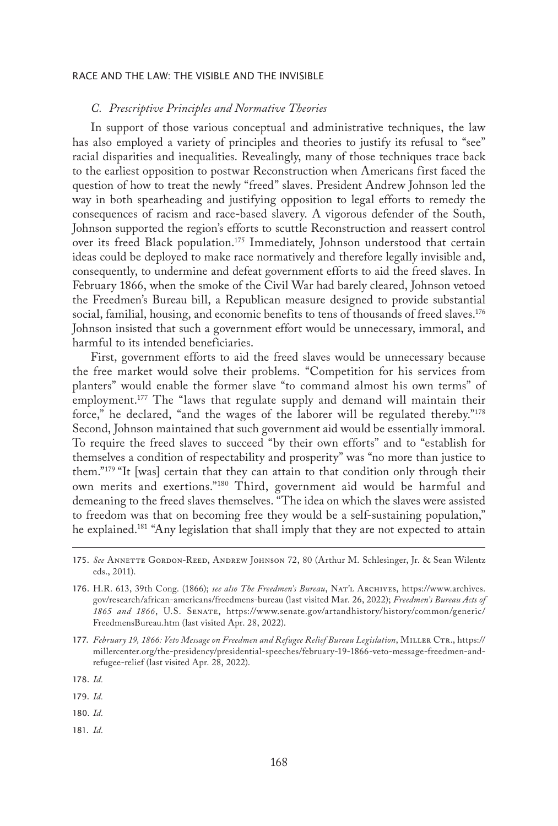#### *C. Prescriptive Principles and Normative Theories*

In support of those various conceptual and administrative techniques, the law has also employed a variety of principles and theories to justify its refusal to "see" racial disparities and inequalities. Revealingly, many of those techniques trace back to the earliest opposition to postwar Reconstruction when Americans first faced the question of how to treat the newly "freed" slaves. President Andrew Johnson led the way in both spearheading and justifying opposition to legal efforts to remedy the consequences of racism and race-based slavery. A vigorous defender of the South, Johnson supported the region's efforts to scuttle Reconstruction and reassert control over its freed Black population.<sup>175</sup> Immediately, Johnson understood that certain ideas could be deployed to make race normatively and therefore legally invisible and, consequently, to undermine and defeat government efforts to aid the freed slaves. In February 1866, when the smoke of the Civil War had barely cleared, Johnson vetoed the Freedmen's Bureau bill, a Republican measure designed to provide substantial social, familial, housing, and economic benefits to tens of thousands of freed slaves.<sup>176</sup> Johnson insisted that such a government effort would be unnecessary, immoral, and harmful to its intended beneficiaries.

First, government efforts to aid the freed slaves would be unnecessary because the free market would solve their problems. "Competition for his services from planters" would enable the former slave "to command almost his own terms" of employment.177 The "laws that regulate supply and demand will maintain their force," he declared, "and the wages of the laborer will be regulated thereby."178 Second, Johnson maintained that such government aid would be essentially immoral. To require the freed slaves to succeed "by their own efforts" and to "establish for themselves a condition of respectability and prosperity" was "no more than justice to them."179 "It [was] certain that they can attain to that condition only through their own merits and exertions."180 Third, government aid would be harmful and demeaning to the freed slaves themselves. "The idea on which the slaves were assisted to freedom was that on becoming free they would be a self-sustaining population," he explained.<sup>181</sup> "Any legislation that shall imply that they are not expected to attain

181. *Id.*

<sup>175.</sup> See ANNETTE GORDON-REED, ANDREW JOHNSON 72, 80 (Arthur M. Schlesinger, Jr. & Sean Wilentz eds., 2011).

<sup>176.</sup> H.R. 613, 39th Cong. (1866); *see also The Freedmen's Bureau*, Nat'l Archives, https://www.archives. gov/research/african-americans/freedmens-bureau (last visited Mar. 26, 2022); *Freedmen's Bureau Acts of 1865 and 1866*, U.S. Senate, https://www.senate.gov/artandhistory/history/common/generic/ FreedmensBureau.htm (last visited Apr. 28, 2022).

<sup>177.</sup> *February 19, 1866: Veto Message on Freedmen and Refugee Relief Bureau Legislation*, Miller Ctr., https:// millercenter.org/the-presidency/presidential-speeches/february-19-1866-veto-message-freedmen-andrefugee-relief (last visited Apr. 28, 2022).

<sup>178.</sup> *Id.*

<sup>179.</sup> *Id.*

<sup>180.</sup> *Id.*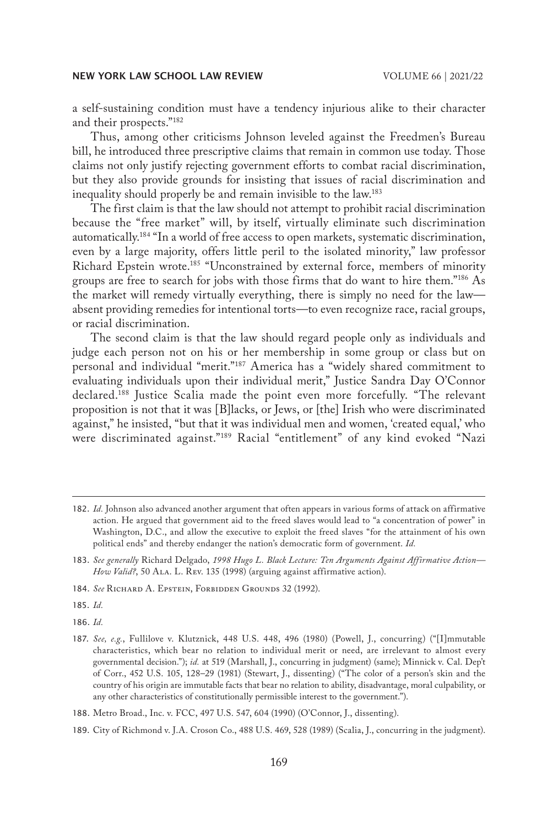a self-sustaining condition must have a tendency injurious alike to their character and their prospects."182

Thus, among other criticisms Johnson leveled against the Freedmen's Bureau bill, he introduced three prescriptive claims that remain in common use today. Those claims not only justify rejecting government efforts to combat racial discrimination, but they also provide grounds for insisting that issues of racial discrimination and inequality should properly be and remain invisible to the law.183

The first claim is that the law should not attempt to prohibit racial discrimination because the "free market" will, by itself, virtually eliminate such discrimination automatically.184 "In a world of free access to open markets, systematic discrimination, even by a large majority, offers little peril to the isolated minority," law professor Richard Epstein wrote.185 "Unconstrained by external force, members of minority groups are free to search for jobs with those firms that do want to hire them."186 As the market will remedy virtually everything, there is simply no need for the law absent providing remedies for intentional torts—to even recognize race, racial groups, or racial discrimination.

The second claim is that the law should regard people only as individuals and judge each person not on his or her membership in some group or class but on personal and individual "merit."187 America has a "widely shared commitment to evaluating individuals upon their individual merit," Justice Sandra Day O'Connor declared.188 Justice Scalia made the point even more forcefully. "The relevant proposition is not that it was [B]lacks, or Jews, or [the] Irish who were discriminated against," he insisted, "but that it was individual men and women, 'created equal,' who were discriminated against."189 Racial "entitlement" of any kind evoked "Nazi

185. *Id.*

186. *Id.*

<sup>182.</sup> *Id.* Johnson also advanced another argument that often appears in various forms of attack on affirmative action. He argued that government aid to the freed slaves would lead to "a concentration of power" in Washington, D.C., and allow the executive to exploit the freed slaves "for the attainment of his own political ends" and thereby endanger the nation's democratic form of government. *Id.*

<sup>183.</sup> *See generally* Richard Delgado, *1998 Hugo L. Black Lecture: Ten Arguments Against Affirmative Action—* How Valid?, 50 ALA. L. Rev. 135 (1998) (arguing against affirmative action).

<sup>184.</sup> *See* Richard A. Epstein, Forbidden Grounds 32 (1992).

<sup>187.</sup> *See, e.g.*, Fullilove v. Klutznick, 448 U.S. 448, 496 (1980) (Powell, J., concurring) ("[I]mmutable characteristics, which bear no relation to individual merit or need, are irrelevant to almost every governmental decision."); *id.* at 519 (Marshall, J., concurring in judgment) (same); Minnick v. Cal. Dep't of Corr., 452 U.S. 105, 128–29 (1981) (Stewart, J., dissenting) ("The color of a person's skin and the country of his origin are immutable facts that bear no relation to ability, disadvantage, moral culpability, or any other characteristics of constitutionally permissible interest to the government.").

<sup>188.</sup> Metro Broad., Inc. v. FCC, 497 U.S. 547, 604 (1990) (O'Connor, J., dissenting).

<sup>189.</sup> City of Richmond v. J.A. Croson Co., 488 U.S. 469, 528 (1989) (Scalia, J., concurring in the judgment).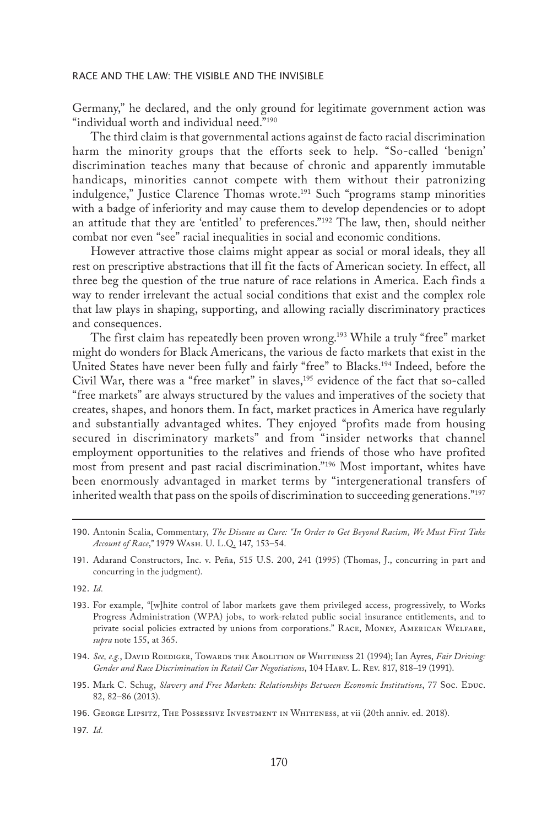Germany," he declared, and the only ground for legitimate government action was "individual worth and individual need."<sup>190</sup>

The third claim is that governmental actions against de facto racial discrimination harm the minority groups that the efforts seek to help. "So-called 'benign' discrimination teaches many that because of chronic and apparently immutable handicaps, minorities cannot compete with them without their patronizing indulgence," Justice Clarence Thomas wrote.<sup>191</sup> Such "programs stamp minorities with a badge of inferiority and may cause them to develop dependencies or to adopt an attitude that they are 'entitled' to preferences."192 The law, then, should neither combat nor even "see" racial inequalities in social and economic conditions.

However attractive those claims might appear as social or moral ideals, they all rest on prescriptive abstractions that ill fit the facts of American society. In effect, all three beg the question of the true nature of race relations in America. Each finds a way to render irrelevant the actual social conditions that exist and the complex role that law plays in shaping, supporting, and allowing racially discriminatory practices and consequences.

The first claim has repeatedly been proven wrong.193 While a truly "free" market might do wonders for Black Americans, the various de facto markets that exist in the United States have never been fully and fairly "free" to Blacks.194 Indeed, before the Civil War, there was a "free market" in slaves,<sup>195</sup> evidence of the fact that so-called "free markets" are always structured by the values and imperatives of the society that creates, shapes, and honors them. In fact, market practices in America have regularly and substantially advantaged whites. They enjoyed "profits made from housing secured in discriminatory markets" and from "insider networks that channel employment opportunities to the relatives and friends of those who have profited most from present and past racial discrimination."196 Most important, whites have been enormously advantaged in market terms by "intergenerational transfers of inherited wealth that pass on the spoils of discrimination to succeeding generations."197

191. Adarand Constructors, Inc. v. Peña, 515 U.S. 200, 241 (1995) (Thomas, J., concurring in part and concurring in the judgment).

192. *Id.*

193. For example, "[w]hite control of labor markets gave them privileged access, progressively, to Works Progress Administration (WPA) jobs, to work-related public social insurance entitlements, and to private social policies extracted by unions from corporations." Race, Money, American Welfare, *supra* note 155, at 365.

194. *See, e.g.*, David Roediger, Towards the Abolition of Whiteness 21 (1994); Ian Ayres, *Fair Driving: Gender and Race Discrimination in Retail Car Negotiations*, 104 Harv. L. Rev. 817, 818–19 (1991).

195. Mark C. Schug, *Slavery and Free Markets: Relationships Between Economic Institutions*, 77 Soc. Educ. 82, 82–86 (2013).

<sup>190.</sup> Antonin Scalia, Commentary, *The Disease as Cure: "In Order to Get Beyond Racism, We Must First Take Account of Race*,*"* 1979 Wash. U. L.Q. 147, 153–54.

<sup>196.</sup> GEORGE LIPSITZ, THE POSSESSIVE INVESTMENT IN WHITENESS, at vii (20th anniv. ed. 2018).

<sup>197.</sup> *Id.*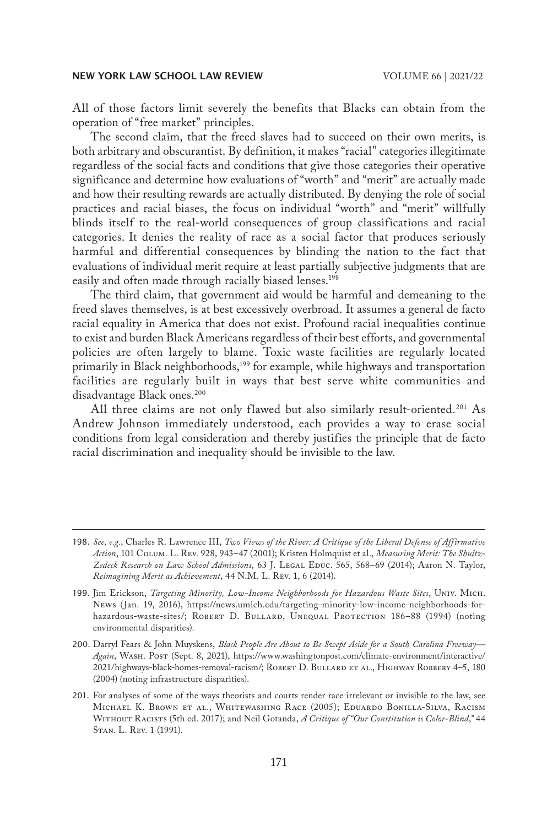All of those factors limit severely the benefits that Blacks can obtain from the operation of "free market" principles.

The second claim, that the freed slaves had to succeed on their own merits, is both arbitrary and obscurantist. By definition, it makes "racial" categories illegitimate regardless of the social facts and conditions that give those categories their operative significance and determine how evaluations of "worth" and "merit" are actually made and how their resulting rewards are actually distributed. By denying the role of social practices and racial biases, the focus on individual "worth" and "merit" willfully blinds itself to the real-world consequences of group classifications and racial categories. It denies the reality of race as a social factor that produces seriously harmful and differential consequences by blinding the nation to the fact that evaluations of individual merit require at least partially subjective judgments that are easily and often made through racially biased lenses.<sup>198</sup>

The third claim, that government aid would be harmful and demeaning to the freed slaves themselves, is at best excessively overbroad. It assumes a general de facto racial equality in America that does not exist. Profound racial inequalities continue to exist and burden Black Americans regardless of their best efforts, and governmental policies are often largely to blame. Toxic waste facilities are regularly located primarily in Black neighborhoods,199 for example, while highways and transportation facilities are regularly built in ways that best serve white communities and disadvantage Black ones.<sup>200</sup>

All three claims are not only flawed but also similarly result-oriented.<sup>201</sup> As Andrew Johnson immediately understood, each provides a way to erase social conditions from legal consideration and thereby justifies the principle that de facto racial discrimination and inequality should be invisible to the law.

<sup>198.</sup> *See, e.g.*, Charles R. Lawrence III, *Two Views of the River: A Critique of the Liberal Defense of Affirmative Action*, 101 Colum. L. Rev. 928, 943–47 (2001); Kristen Holmquist et al., *Measuring Merit: The Shultz-*Zedeck Research on Law School Admissions, 63 J. LEGAL EDUC. 565, 568-69 (2014); Aaron N. Taylor, *Reimagining Merit as Achievement*, 44 N.M. L. Rev. 1, 6 (2014).

<sup>199.</sup> Jim Erickson, *Targeting Minority, Low-Income Neighborhoods for Hazardous Waste Sites*, Univ. Mich. News (Jan. 19, 2016), https://news.umich.edu/targeting-minority-low-income-neighborhoods-forhazardous-waste-sites/; ROBERT D. BULLARD, UNEQUAL PROTECTION 186-88 (1994) (noting environmental disparities).

<sup>200.</sup> Darryl Fears & John Muyskens, *Black People Are About to Be Swept Aside for a South Carolina Freeway— Again*, Wash. Post (Sept. 8, 2021), https://www.washingtonpost.com/climate-environment/interactive/ 2021/highways-black-homes-removal-racism/; Robert D. Bullard et al., Highway Robbery 4–5, 180 (2004) (noting infrastructure disparities).

<sup>201.</sup> For analyses of some of the ways theorists and courts render race irrelevant or invisible to the law, see Michael K. Brown et al., Whitewashing Race (2005); Eduardo Bonilla-Silva, Racism Without Racists (5th ed. 2017); and Neil Gotanda, *A Critique of "Our Constitution is Color-Blind*,*"* 44 Stan. L. Rev. 1 (1991).